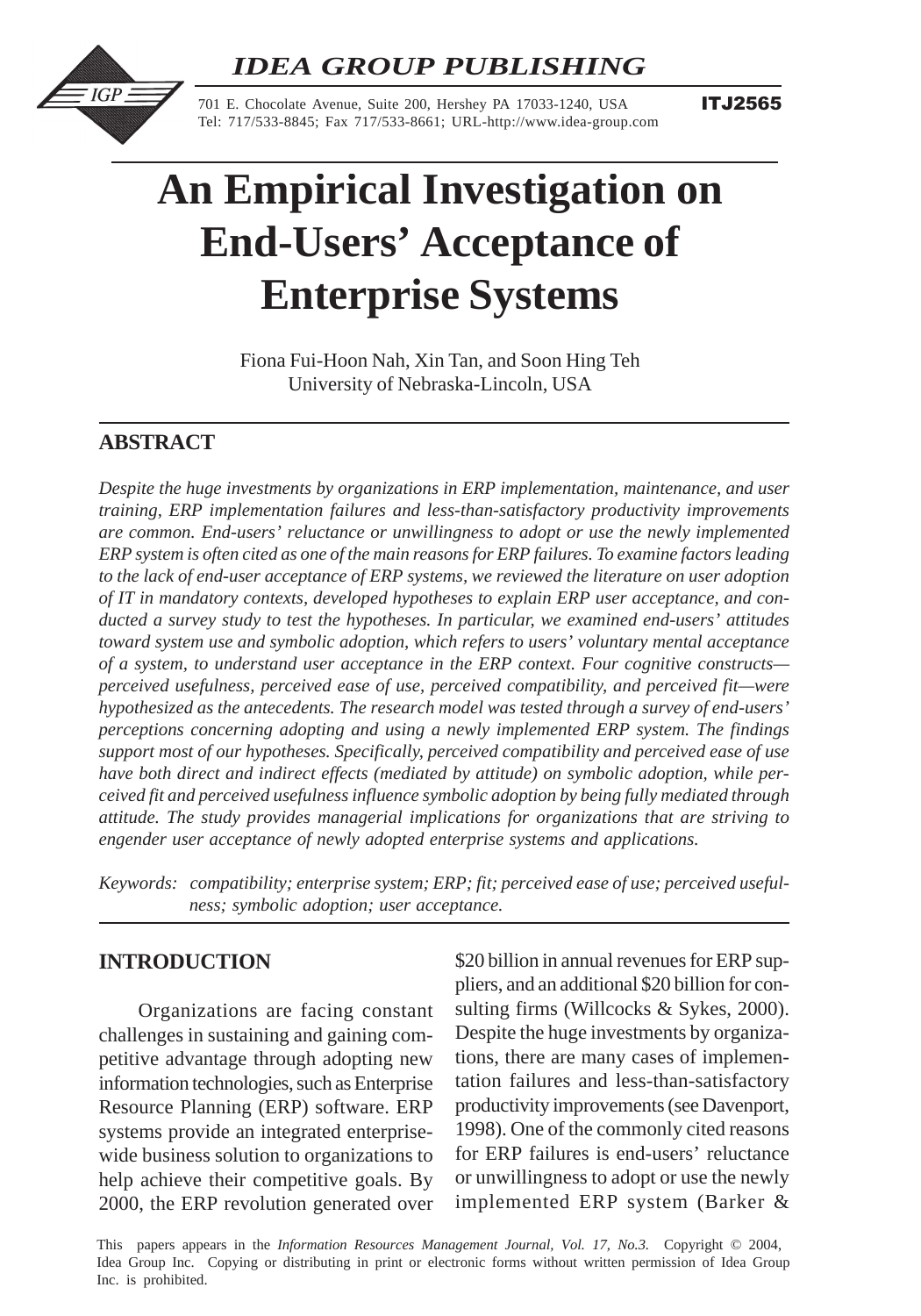*IDEA GROUP PUBLISHING*



701 E. Chocolate Avenue, Suite 200, Hershey PA 17033-1240, USA Tel: 717/533-8845; Fax 717/533-8661; URL-http://www.idea-group.com **ITJ2565** 

# **An Empirical Investigation on End-Users' Acceptance of Enterprise Systems**

Fiona Fui-Hoon Nah, Xin Tan, and Soon Hing Teh University of Nebraska-Lincoln, USA

# **ABSTRACT**

*Despite the huge investments by organizations in ERP implementation, maintenance, and user training, ERP implementation failures and less-than-satisfactory productivity improvements are common. End-users' reluctance or unwillingness to adopt or use the newly implemented ERP system is often cited as one of the main reasons for ERP failures. To examine factors leading to the lack of end-user acceptance of ERP systems, we reviewed the literature on user adoption of IT in mandatory contexts, developed hypotheses to explain ERP user acceptance, and conducted a survey study to test the hypotheses. In particular, we examined end-users' attitudes toward system use and symbolic adoption, which refers to users' voluntary mental acceptance of a system, to understand user acceptance in the ERP context. Four cognitive constructs perceived usefulness, perceived ease of use, perceived compatibility, and perceived fit—were hypothesized as the antecedents. The research model was tested through a survey of end-users' perceptions concerning adopting and using a newly implemented ERP system. The findings support most of our hypotheses. Specifically, perceived compatibility and perceived ease of use have both direct and indirect effects (mediated by attitude) on symbolic adoption, while perceived fit and perceived usefulness influence symbolic adoption by being fully mediated through attitude. The study provides managerial implications for organizations that are striving to engender user acceptance of newly adopted enterprise systems and applications.*

*Keywords: compatibility; enterprise system; ERP; fit; perceived ease of use; perceived usefulness; symbolic adoption; user acceptance.*

# **INTRODUCTION**

Organizations are facing constant challenges in sustaining and gaining competitive advantage through adopting new information technologies, such as Enterprise Resource Planning (ERP) software. ERP systems provide an integrated enterprisewide business solution to organizations to help achieve their competitive goals. By 2000, the ERP revolution generated over \$20 billion in annual revenues for ERP suppliers, and an additional \$20 billion for consulting firms (Willcocks & Sykes, 2000). Despite the huge investments by organizations, there are many cases of implementation failures and less-than-satisfactory productivity improvements (see Davenport, 1998). One of the commonly cited reasons for ERP failures is end-users' reluctance or unwillingness to adopt or use the newly implemented ERP system (Barker &

This papers appears in the *Information Resources Management Journal, Vol. 17, No.3.* Copyright © 2004, Idea Group Inc. Copying or distributing in print or electronic forms without written permission of Idea Group Inc. is prohibited.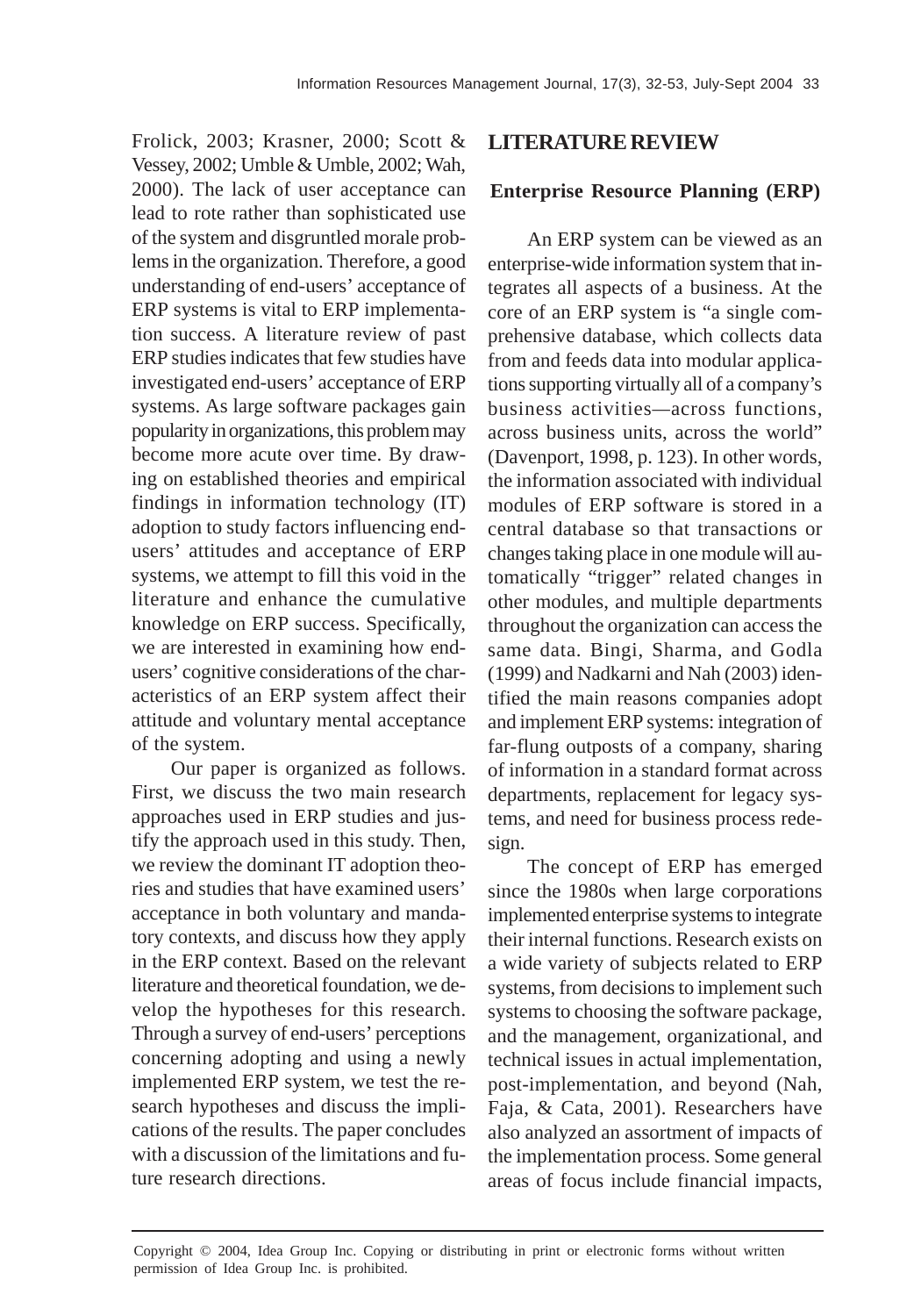Frolick, 2003; Krasner, 2000; Scott & Vessey, 2002; Umble & Umble, 2002; Wah, 2000). The lack of user acceptance can lead to rote rather than sophisticated use of the system and disgruntled morale problems in the organization. Therefore, a good understanding of end-users' acceptance of ERP systems is vital to ERP implementation success. A literature review of past ERP studies indicates that few studies have investigated end-users' acceptance of ERP systems. As large software packages gain popularity in organizations, this problem may become more acute over time. By drawing on established theories and empirical findings in information technology (IT) adoption to study factors influencing endusers' attitudes and acceptance of ERP systems, we attempt to fill this void in the literature and enhance the cumulative knowledge on ERP success. Specifically, we are interested in examining how endusers' cognitive considerations of the characteristics of an ERP system affect their attitude and voluntary mental acceptance of the system.

Our paper is organized as follows. First, we discuss the two main research approaches used in ERP studies and justify the approach used in this study. Then, we review the dominant IT adoption theories and studies that have examined users' acceptance in both voluntary and mandatory contexts, and discuss how they apply in the ERP context. Based on the relevant literature and theoretical foundation, we develop the hypotheses for this research. Through a survey of end-users' perceptions concerning adopting and using a newly implemented ERP system, we test the research hypotheses and discuss the implications of the results. The paper concludes with a discussion of the limitations and future research directions.

## **LITERATURE REVIEW**

## **Enterprise Resource Planning (ERP)**

An ERP system can be viewed as an enterprise-wide information system that integrates all aspects of a business. At the core of an ERP system is "a single comprehensive database, which collects data from and feeds data into modular applications supporting virtually all of a company's business activities*—*across functions, across business units, across the world" (Davenport, 1998, p. 123). In other words, the information associated with individual modules of ERP software is stored in a central database so that transactions or changes taking place in one module will automatically "trigger" related changes in other modules, and multiple departments throughout the organization can access the same data. Bingi, Sharma, and Godla (1999) and Nadkarni and Nah (2003) identified the main reasons companies adopt and implement ERP systems: integration of far-flung outposts of a company, sharing of information in a standard format across departments, replacement for legacy systems, and need for business process redesign.

The concept of ERP has emerged since the 1980s when large corporations implemented enterprise systems to integrate their internal functions. Research exists on a wide variety of subjects related to ERP systems, from decisions to implement such systems to choosing the software package, and the management, organizational, and technical issues in actual implementation, post-implementation, and beyond (Nah, Faja, & Cata, 2001). Researchers have also analyzed an assortment of impacts of the implementation process. Some general areas of focus include financial impacts,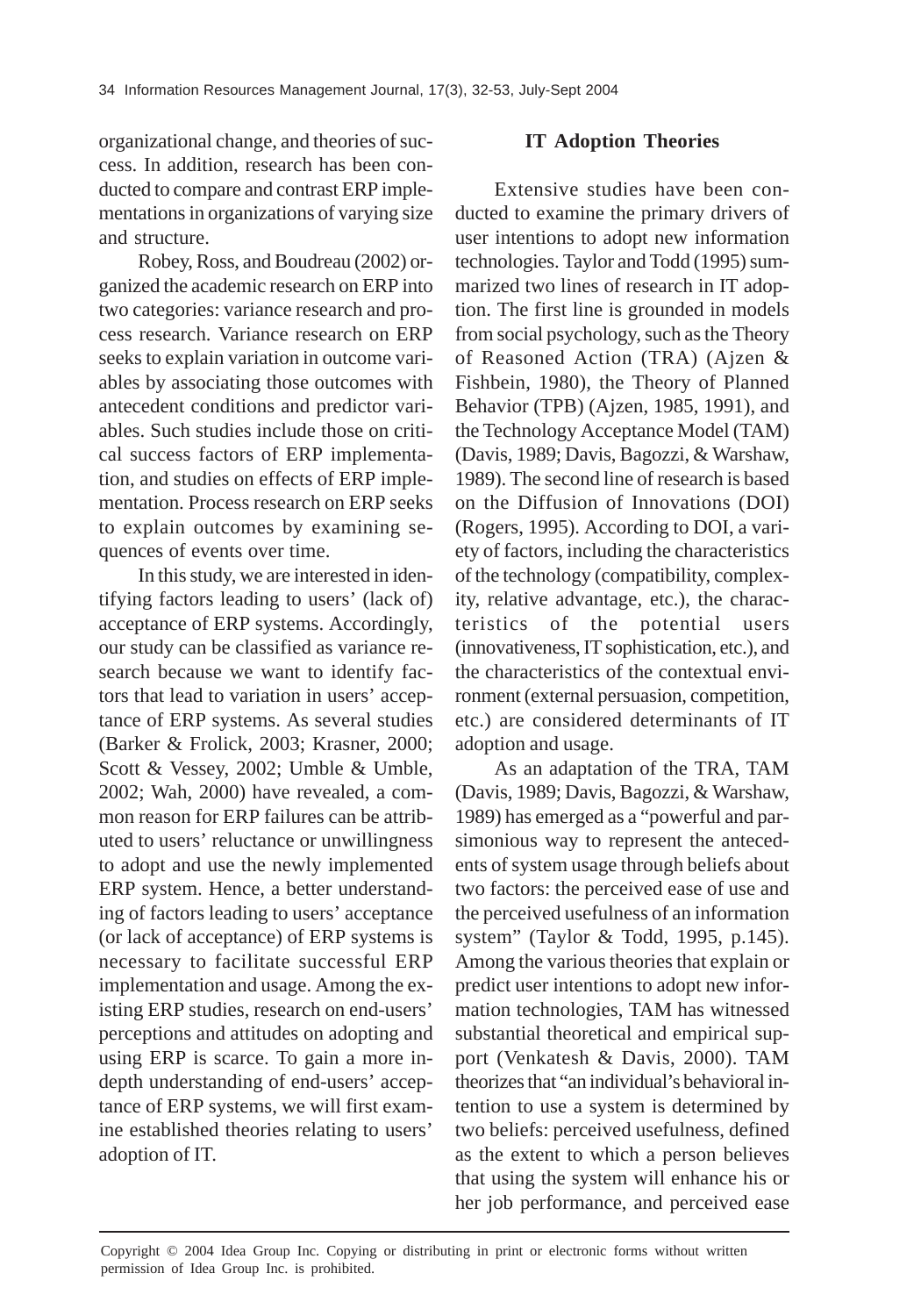organizational change, and theories of success. In addition, research has been conducted to compare and contrast ERP implementations in organizations of varying size and structure.

Robey, Ross, and Boudreau (2002) organized the academic research on ERP into two categories: variance research and process research. Variance research on ERP seeks to explain variation in outcome variables by associating those outcomes with antecedent conditions and predictor variables. Such studies include those on critical success factors of ERP implementation, and studies on effects of ERP implementation. Process research on ERP seeks to explain outcomes by examining sequences of events over time.

In this study, we are interested in identifying factors leading to users' (lack of) acceptance of ERP systems. Accordingly, our study can be classified as variance research because we want to identify factors that lead to variation in users' acceptance of ERP systems. As several studies (Barker & Frolick, 2003; Krasner, 2000; Scott & Vessey, 2002; Umble & Umble, 2002; Wah, 2000) have revealed, a common reason for ERP failures can be attributed to users' reluctance or unwillingness to adopt and use the newly implemented ERP system. Hence, a better understanding of factors leading to users' acceptance (or lack of acceptance) of ERP systems is necessary to facilitate successful ERP implementation and usage. Among the existing ERP studies, research on end-users' perceptions and attitudes on adopting and using ERP is scarce. To gain a more indepth understanding of end-users' acceptance of ERP systems, we will first examine established theories relating to users' adoption of IT.

## **IT Adoption Theories**

Extensive studies have been conducted to examine the primary drivers of user intentions to adopt new information technologies. Taylor and Todd (1995) summarized two lines of research in IT adoption. The first line is grounded in models from social psychology, such as the Theory of Reasoned Action (TRA) (Ajzen & Fishbein, 1980), the Theory of Planned Behavior (TPB) (Ajzen, 1985, 1991), and the Technology Acceptance Model (TAM) (Davis, 1989; Davis, Bagozzi, & Warshaw, 1989). The second line of research is based on the Diffusion of Innovations (DOI) (Rogers, 1995). According to DOI, a variety of factors, including the characteristics of the technology (compatibility, complexity, relative advantage, etc.), the characteristics of the potential users (innovativeness, IT sophistication, etc.), and the characteristics of the contextual environment (external persuasion, competition, etc.) are considered determinants of IT adoption and usage.

As an adaptation of the TRA, TAM (Davis, 1989; Davis, Bagozzi, & Warshaw, 1989) has emerged as a "powerful and parsimonious way to represent the antecedents of system usage through beliefs about two factors: the perceived ease of use and the perceived usefulness of an information system" (Taylor & Todd, 1995, p.145). Among the various theories that explain or predict user intentions to adopt new information technologies, TAM has witnessed substantial theoretical and empirical support (Venkatesh & Davis, 2000). TAM theorizes that "an individual's behavioral intention to use a system is determined by two beliefs: perceived usefulness, defined as the extent to which a person believes that using the system will enhance his or her job performance, and perceived ease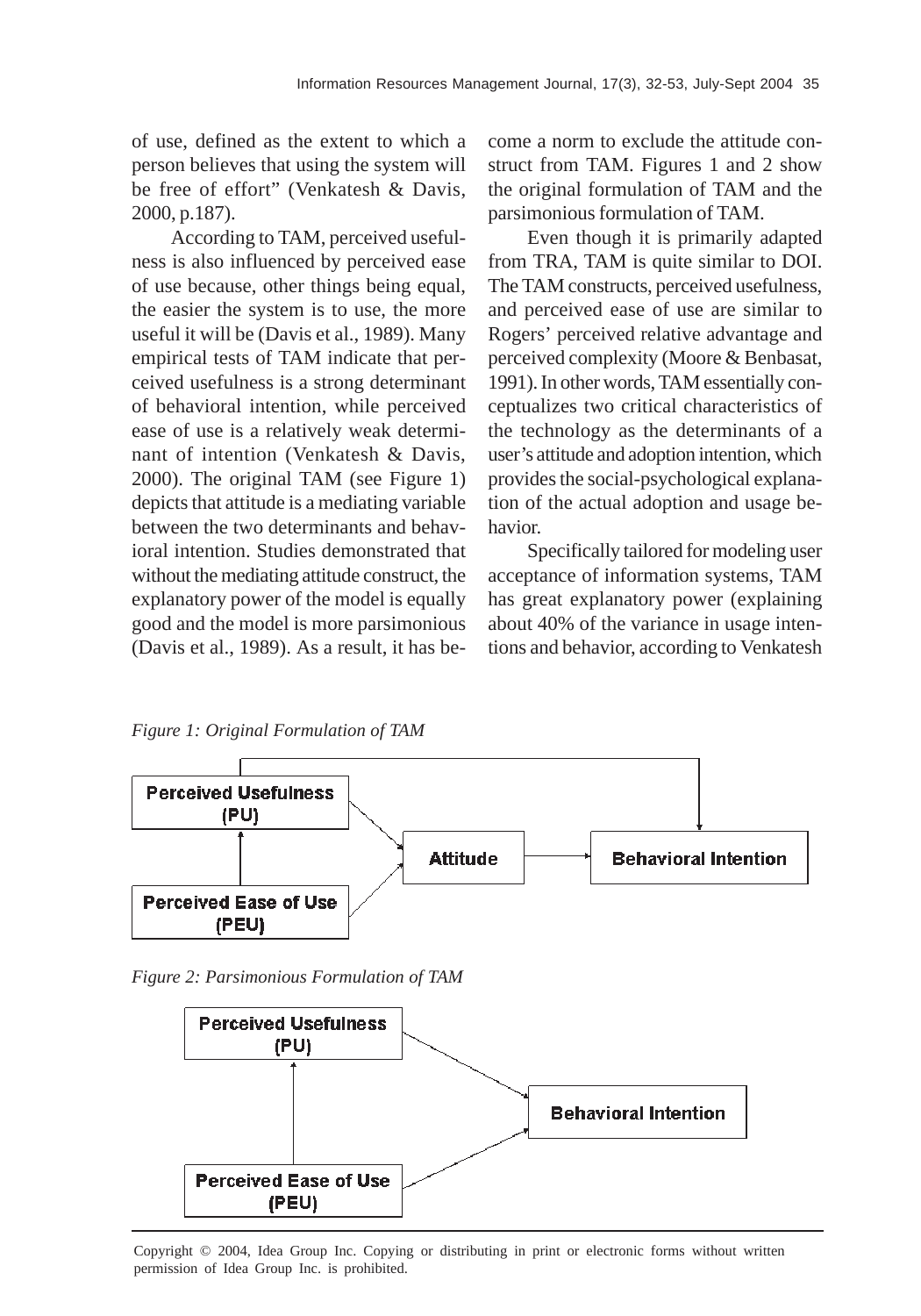of use, defined as the extent to which a person believes that using the system will be free of effort" (Venkatesh & Davis, 2000, p.187).

According to TAM, perceived usefulness is also influenced by perceived ease of use because, other things being equal, the easier the system is to use, the more useful it will be (Davis et al., 1989). Many empirical tests of TAM indicate that perceived usefulness is a strong determinant of behavioral intention, while perceived ease of use is a relatively weak determinant of intention (Venkatesh & Davis, 2000). The original TAM (see Figure 1) depicts that attitude is a mediating variable between the two determinants and behavioral intention. Studies demonstrated that without the mediating attitude construct, the explanatory power of the model is equally good and the model is more parsimonious (Davis et al., 1989). As a result, it has become a norm to exclude the attitude construct from TAM. Figures 1 and 2 show the original formulation of TAM and the parsimonious formulation of TAM.

Even though it is primarily adapted from TRA, TAM is quite similar to DOI. The TAM constructs, perceived usefulness, and perceived ease of use are similar to Rogers' perceived relative advantage and perceived complexity (Moore & Benbasat, 1991). In other words, TAM essentially conceptualizes two critical characteristics of the technology as the determinants of a user's attitude and adoption intention, which provides the social-psychological explanation of the actual adoption and usage behavior.

Specifically tailored for modeling user acceptance of information systems, TAM has great explanatory power (explaining about 40% of the variance in usage intentions and behavior, according to Venkatesh

*Figure 1: Original Formulation of TAM*



*Figure 2: Parsimonious Formulation of TAM*



Copyright © 2004, Idea Group Inc. Copying or distributing in print or electronic forms without written permission of Idea Group Inc. is prohibited.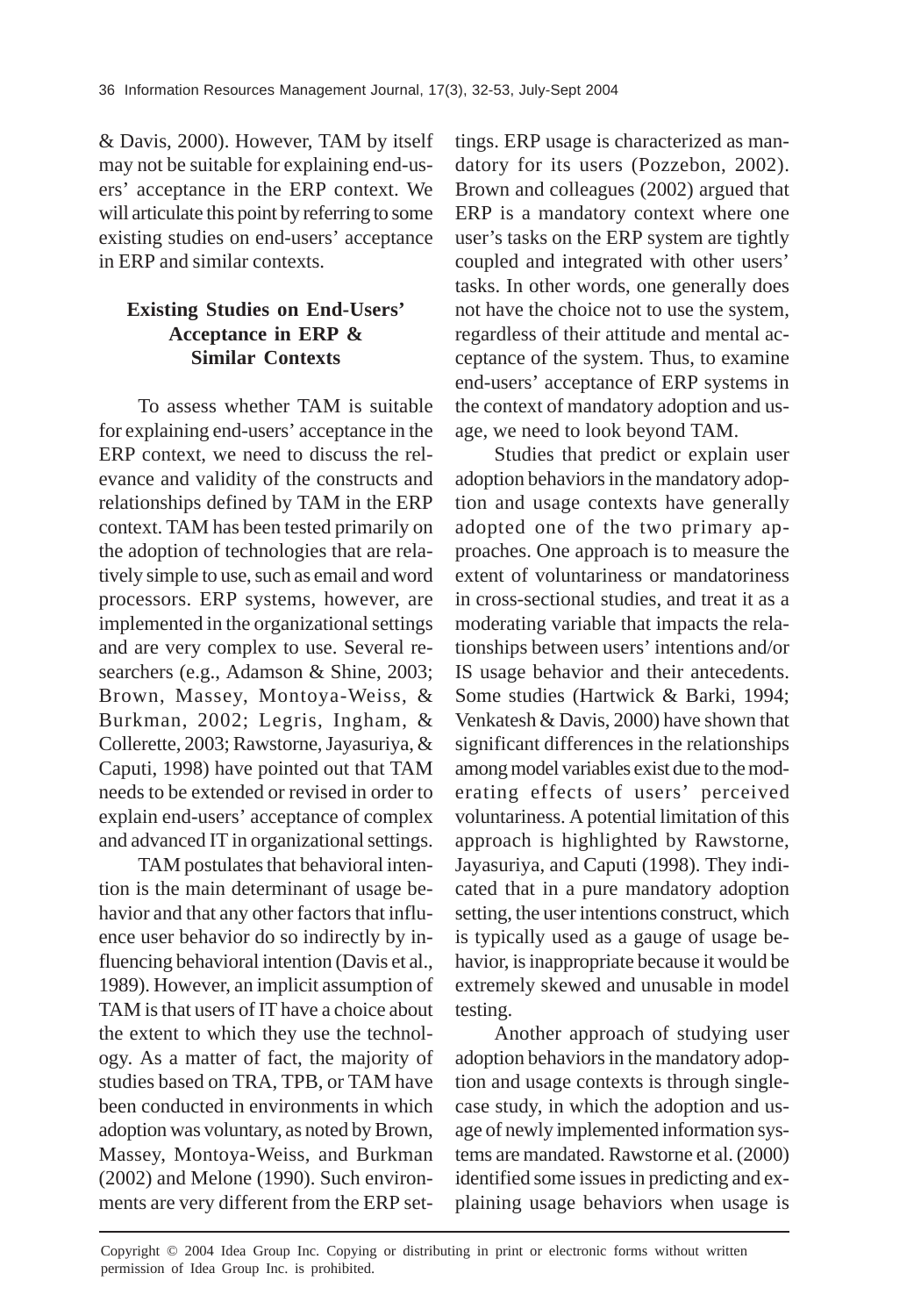& Davis, 2000). However, TAM by itself may not be suitable for explaining end-users' acceptance in the ERP context. We will articulate this point by referring to some existing studies on end-users' acceptance in ERP and similar contexts.

# **Existing Studies on End-Users' Acceptance in ERP & Similar Contexts**

To assess whether TAM is suitable for explaining end-users' acceptance in the ERP context, we need to discuss the relevance and validity of the constructs and relationships defined by TAM in the ERP context. TAM has been tested primarily on the adoption of technologies that are relatively simple to use, such as email and word processors. ERP systems, however, are implemented in the organizational settings and are very complex to use. Several researchers (e.g., Adamson & Shine, 2003; Brown, Massey, Montoya-Weiss, & Burkman, 2002; Legris, Ingham, & Collerette, 2003; Rawstorne, Jayasuriya, & Caputi, 1998) have pointed out that TAM needs to be extended or revised in order to explain end-users' acceptance of complex and advanced IT in organizational settings.

TAM postulates that behavioral intention is the main determinant of usage behavior and that any other factors that influence user behavior do so indirectly by influencing behavioral intention (Davis et al., 1989). However, an implicit assumption of TAM is that users of IT have a choice about the extent to which they use the technology. As a matter of fact, the majority of studies based on TRA, TPB, or TAM have been conducted in environments in which adoption was voluntary, as noted by Brown, Massey, Montoya-Weiss, and Burkman (2002) and Melone (1990). Such environments are very different from the ERP settings. ERP usage is characterized as mandatory for its users (Pozzebon, 2002). Brown and colleagues (2002) argued that ERP is a mandatory context where one user's tasks on the ERP system are tightly coupled and integrated with other users' tasks. In other words, one generally does not have the choice not to use the system, regardless of their attitude and mental acceptance of the system. Thus, to examine end-users' acceptance of ERP systems in the context of mandatory adoption and usage, we need to look beyond TAM.

Studies that predict or explain user adoption behaviors in the mandatory adoption and usage contexts have generally adopted one of the two primary approaches. One approach is to measure the extent of voluntariness or mandatoriness in cross-sectional studies, and treat it as a moderating variable that impacts the relationships between users' intentions and/or IS usage behavior and their antecedents. Some studies (Hartwick & Barki, 1994; Venkatesh & Davis, 2000) have shown that significant differences in the relationships among model variables exist due to the moderating effects of users' perceived voluntariness. A potential limitation of this approach is highlighted by Rawstorne, Jayasuriya, and Caputi (1998). They indicated that in a pure mandatory adoption setting, the user intentions construct, which is typically used as a gauge of usage behavior, is inappropriate because it would be extremely skewed and unusable in model testing.

Another approach of studying user adoption behaviors in the mandatory adoption and usage contexts is through singlecase study, in which the adoption and usage of newly implemented information systems are mandated. Rawstorne et al. (2000) identified some issues in predicting and explaining usage behaviors when usage is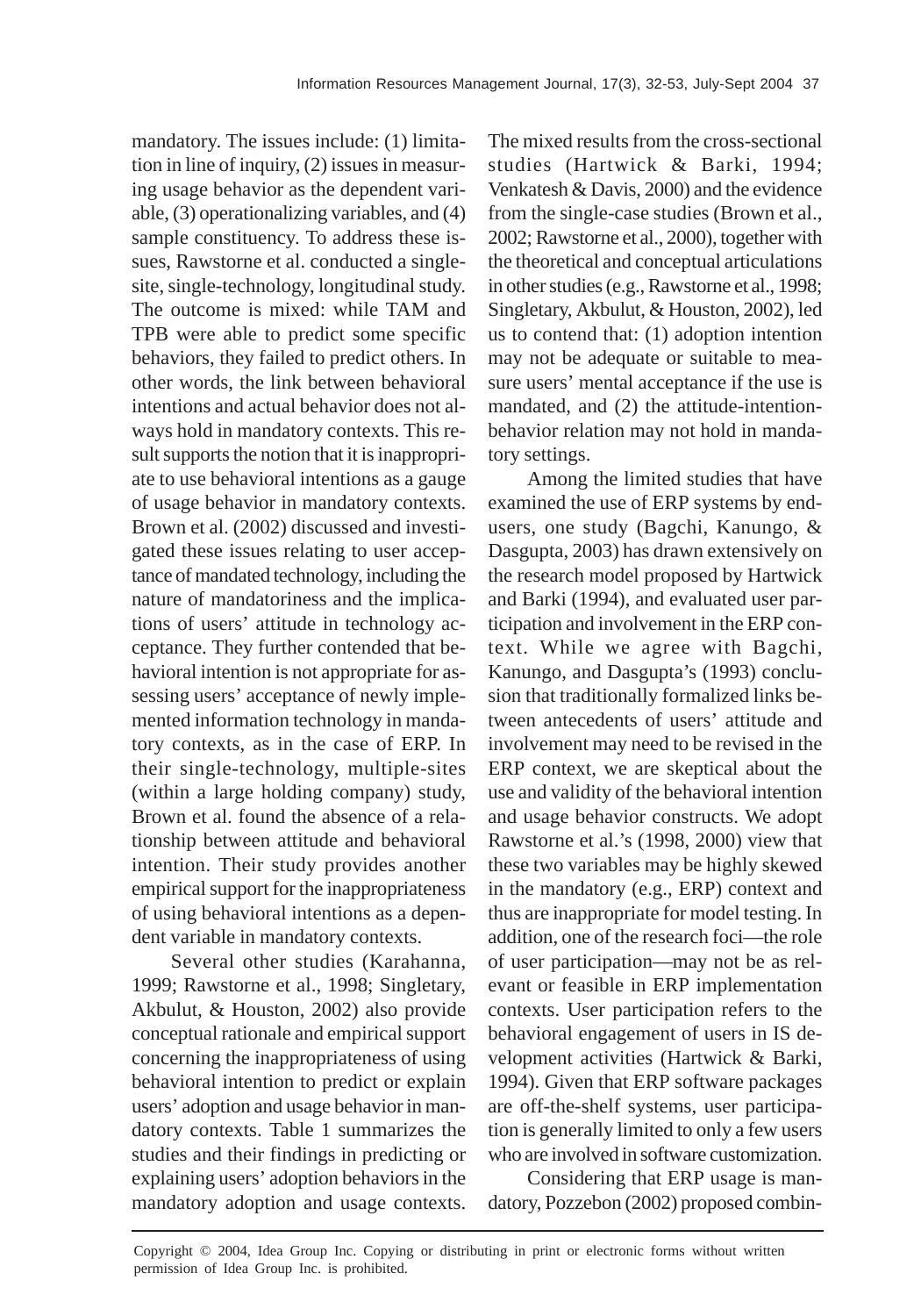mandatory. The issues include: (1) limitation in line of inquiry, (2) issues in measuring usage behavior as the dependent variable, (3) operationalizing variables, and (4) sample constituency. To address these issues, Rawstorne et al. conducted a singlesite, single-technology, longitudinal study. The outcome is mixed: while TAM and TPB were able to predict some specific behaviors, they failed to predict others. In other words, the link between behavioral intentions and actual behavior does not always hold in mandatory contexts. This result supports the notion that it is inappropriate to use behavioral intentions as a gauge of usage behavior in mandatory contexts. Brown et al. (2002) discussed and investigated these issues relating to user acceptance of mandated technology, including the nature of mandatoriness and the implications of users' attitude in technology acceptance. They further contended that behavioral intention is not appropriate for assessing users' acceptance of newly implemented information technology in mandatory contexts, as in the case of ERP. In their single-technology, multiple-sites (within a large holding company) study, Brown et al. found the absence of a relationship between attitude and behavioral intention. Their study provides another empirical support for the inappropriateness of using behavioral intentions as a dependent variable in mandatory contexts.

Several other studies (Karahanna, 1999; Rawstorne et al., 1998; Singletary, Akbulut, & Houston, 2002) also provide conceptual rationale and empirical support concerning the inappropriateness of using behavioral intention to predict or explain users' adoption and usage behavior in mandatory contexts. Table 1 summarizes the studies and their findings in predicting or explaining users' adoption behaviors in the mandatory adoption and usage contexts.

The mixed results from the cross-sectional studies (Hartwick & Barki, 1994; Venkatesh & Davis, 2000) and the evidence from the single-case studies (Brown et al., 2002; Rawstorne et al., 2000), together with the theoretical and conceptual articulations in other studies (e.g., Rawstorne et al., 1998; Singletary, Akbulut, & Houston, 2002), led us to contend that: (1) adoption intention may not be adequate or suitable to measure users' mental acceptance if the use is mandated, and (2) the attitude-intentionbehavior relation may not hold in mandatory settings.

Among the limited studies that have examined the use of ERP systems by endusers, one study (Bagchi, Kanungo, & Dasgupta, 2003) has drawn extensively on the research model proposed by Hartwick and Barki (1994), and evaluated user participation and involvement in the ERP context. While we agree with Bagchi, Kanungo, and Dasgupta's (1993) conclusion that traditionally formalized links between antecedents of users' attitude and involvement may need to be revised in the ERP context, we are skeptical about the use and validity of the behavioral intention and usage behavior constructs. We adopt Rawstorne et al.'s (1998, 2000) view that these two variables may be highly skewed in the mandatory (e.g., ERP) context and thus are inappropriate for model testing. In addition, one of the research foci—the role of user participation—may not be as relevant or feasible in ERP implementation contexts. User participation refers to the behavioral engagement of users in IS development activities (Hartwick & Barki, 1994). Given that ERP software packages are off-the-shelf systems, user participation is generally limited to only a few users who are involved in software customization.

Considering that ERP usage is mandatory, Pozzebon (2002) proposed combin-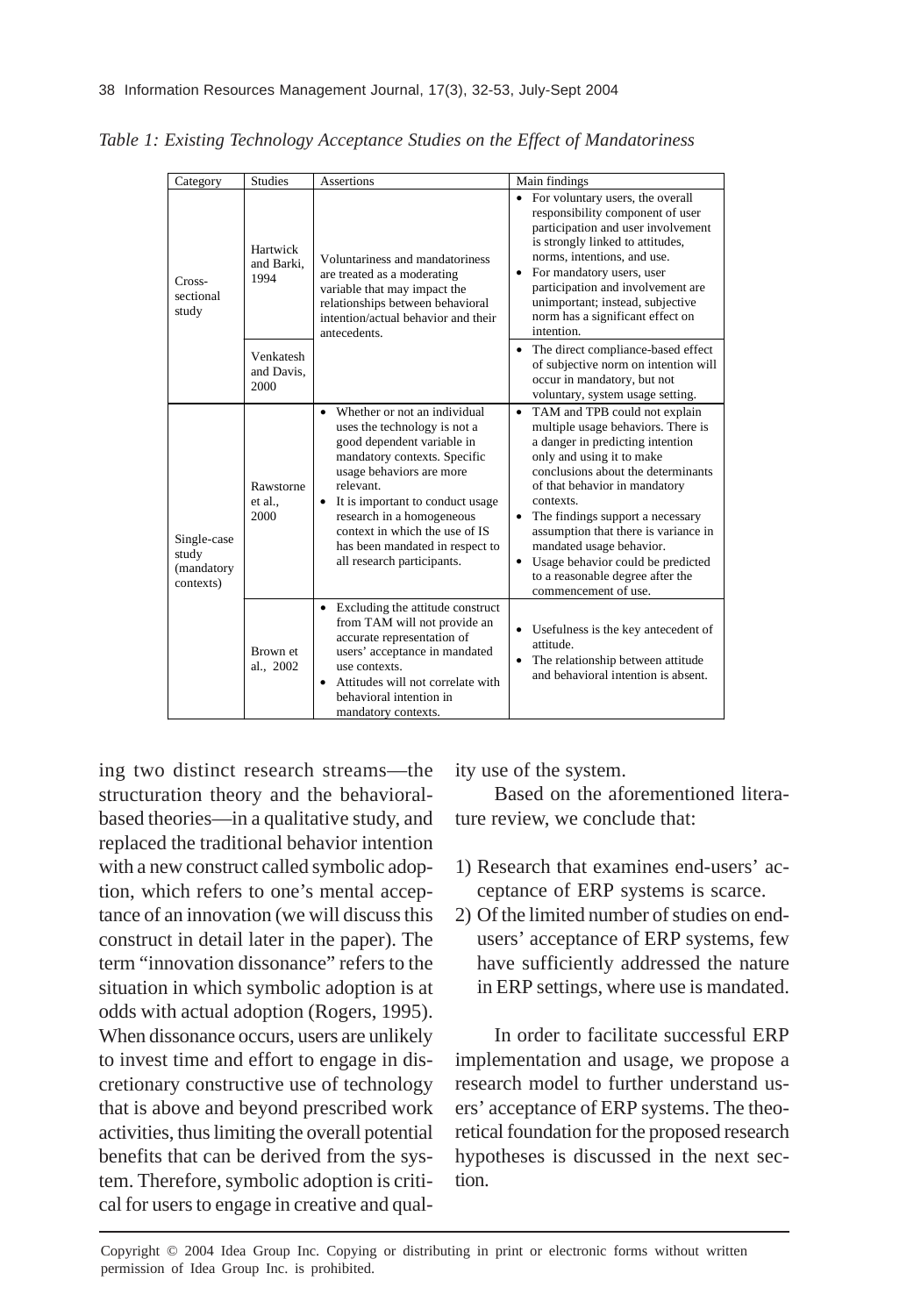| Category                                        | <b>Studies</b>                  | Assertions                                                                                                                                                                                                                                                                                                                                                | Main findings                                                                                                                                                                                                                                                                                                                                                                                                                                                    |
|-------------------------------------------------|---------------------------------|-----------------------------------------------------------------------------------------------------------------------------------------------------------------------------------------------------------------------------------------------------------------------------------------------------------------------------------------------------------|------------------------------------------------------------------------------------------------------------------------------------------------------------------------------------------------------------------------------------------------------------------------------------------------------------------------------------------------------------------------------------------------------------------------------------------------------------------|
| Cross-<br>sectional<br>study                    | Hartwick<br>and Barki.<br>1994  | Voluntariness and mandatoriness<br>are treated as a moderating<br>variable that may impact the<br>relationships between behavioral<br>intention/actual behavior and their<br>antecedents.                                                                                                                                                                 | For voluntary users, the overall<br>responsibility component of user<br>participation and user involvement<br>is strongly linked to attitudes,<br>norms, intentions, and use.<br>For mandatory users, user<br>$\bullet$<br>participation and involvement are<br>unimportant; instead, subjective<br>norm has a significant effect on<br>intention.                                                                                                               |
|                                                 | Venkatesh<br>and Davis.<br>2000 |                                                                                                                                                                                                                                                                                                                                                           | • The direct compliance-based effect<br>of subjective norm on intention will<br>occur in mandatory, but not<br>voluntary, system usage setting.                                                                                                                                                                                                                                                                                                                  |
| Single-case<br>study<br>(mandatory<br>contexts) | Rawstorne<br>et al<br>2000      | Whether or not an individual<br>$\bullet$<br>uses the technology is not a<br>good dependent variable in<br>mandatory contexts. Specific<br>usage behaviors are more<br>relevant.<br>It is important to conduct usage<br>٠<br>research in a homogeneous<br>context in which the use of IS<br>has been mandated in respect to<br>all research participants. | TAM and TPB could not explain<br>٠<br>multiple usage behaviors. There is<br>a danger in predicting intention<br>only and using it to make<br>conclusions about the determinants<br>of that behavior in mandatory<br>contexts.<br>The findings support a necessary<br>$\bullet$<br>assumption that there is variance in<br>mandated usage behavior.<br>Usage behavior could be predicted<br>$\bullet$<br>to a reasonable degree after the<br>commencement of use. |
|                                                 | Brown et<br>al., 2002           | Excluding the attitude construct<br>$\bullet$<br>from TAM will not provide an<br>accurate representation of<br>users' acceptance in mandated<br>use contexts.<br>Attitudes will not correlate with<br>$\bullet$<br>behavioral intention in<br>mandatory contexts.                                                                                         | • Usefulness is the key antecedent of<br>attitude.<br>The relationship between attitude<br>$\bullet$<br>and behavioral intention is absent.                                                                                                                                                                                                                                                                                                                      |

*Table 1: Existing Technology Acceptance Studies on the Effect of Mandatoriness*

ing two distinct research streams—the structuration theory and the behavioralbased theories—in a qualitative study, and replaced the traditional behavior intention with a new construct called symbolic adoption, which refers to one's mental acceptance of an innovation (we will discuss this construct in detail later in the paper). The term "innovation dissonance" refers to the situation in which symbolic adoption is at odds with actual adoption (Rogers, 1995). When dissonance occurs, users are unlikely to invest time and effort to engage in discretionary constructive use of technology that is above and beyond prescribed work activities, thus limiting the overall potential benefits that can be derived from the system. Therefore, symbolic adoption is critical for users to engage in creative and qual-

ity use of the system.

Based on the aforementioned literature review, we conclude that:

- 1) Research that examines end-users' acceptance of ERP systems is scarce.
- 2) Of the limited number of studies on endusers' acceptance of ERP systems, few have sufficiently addressed the nature in ERP settings, where use is mandated.

In order to facilitate successful ERP implementation and usage, we propose a research model to further understand users' acceptance of ERP systems. The theoretical foundation for the proposed research hypotheses is discussed in the next section.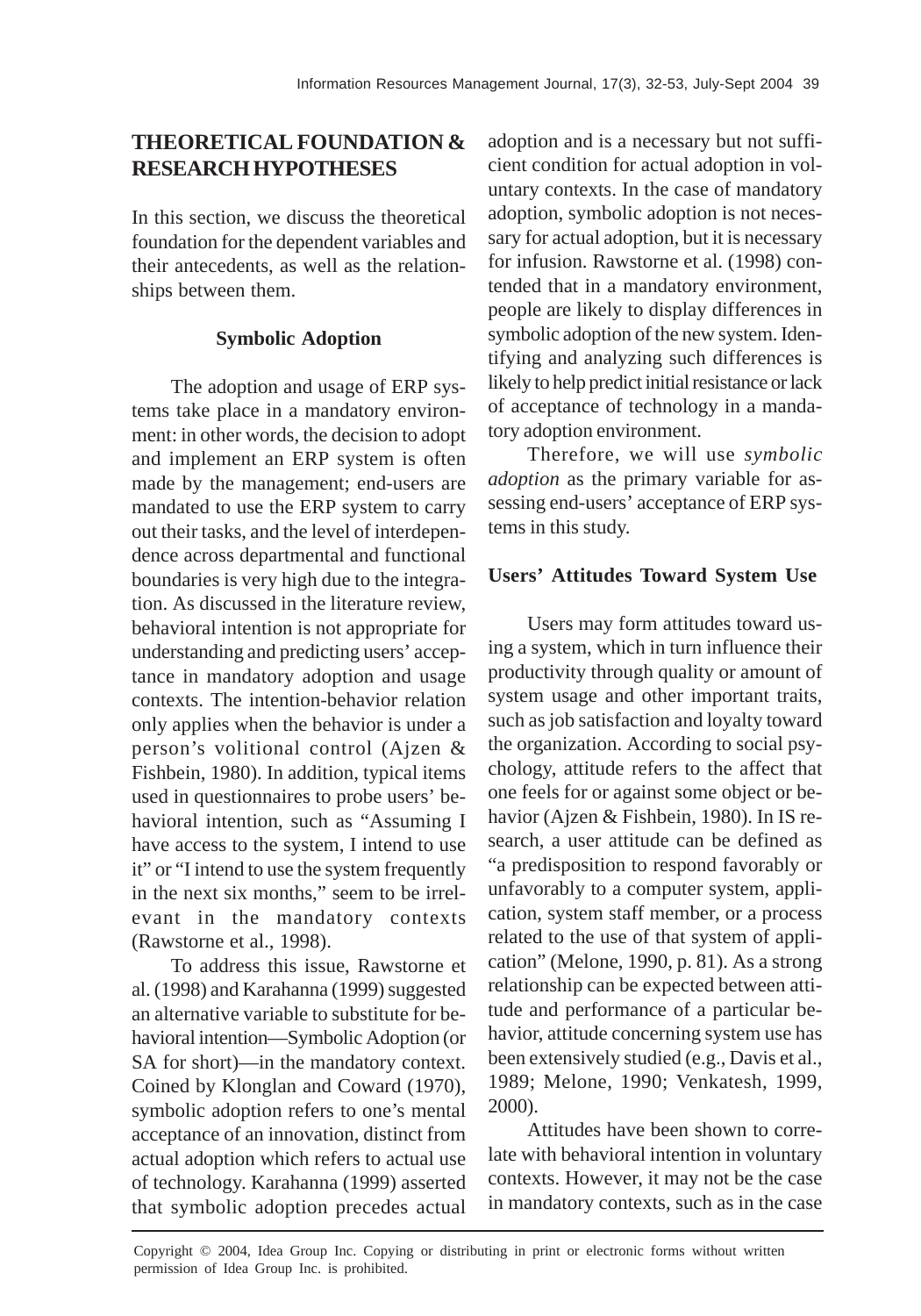# **THEORETICAL FOUNDATION & RESEARCH HYPOTHESES**

In this section, we discuss the theoretical foundation for the dependent variables and their antecedents, as well as the relationships between them.

## **Symbolic Adoption**

The adoption and usage of ERP systems take place in a mandatory environment: in other words, the decision to adopt and implement an ERP system is often made by the management; end-users are mandated to use the ERP system to carry out their tasks, and the level of interdependence across departmental and functional boundaries is very high due to the integration. As discussed in the literature review, behavioral intention is not appropriate for understanding and predicting users' acceptance in mandatory adoption and usage contexts. The intention-behavior relation only applies when the behavior is under a person's volitional control (Ajzen & Fishbein, 1980). In addition, typical items used in questionnaires to probe users' behavioral intention, such as "Assuming I have access to the system, I intend to use it" or "I intend to use the system frequently in the next six months," seem to be irrelevant in the mandatory contexts (Rawstorne et al., 1998).

To address this issue, Rawstorne et al. (1998) and Karahanna (1999) suggested an alternative variable to substitute for behavioral intention—Symbolic Adoption (or SA for short)—in the mandatory context. Coined by Klonglan and Coward (1970), symbolic adoption refers to one's mental acceptance of an innovation, distinct from actual adoption which refers to actual use of technology. Karahanna (1999) asserted that symbolic adoption precedes actual

adoption and is a necessary but not sufficient condition for actual adoption in voluntary contexts. In the case of mandatory adoption, symbolic adoption is not necessary for actual adoption, but it is necessary for infusion. Rawstorne et al. (1998) contended that in a mandatory environment, people are likely to display differences in symbolic adoption of the new system. Identifying and analyzing such differences is likely to help predict initial resistance or lack of acceptance of technology in a mandatory adoption environment.

Therefore, we will use *symbolic adoption* as the primary variable for assessing end-users' acceptance of ERP systems in this study.

## **Users' Attitudes Toward System Use**

Users may form attitudes toward using a system, which in turn influence their productivity through quality or amount of system usage and other important traits, such as job satisfaction and loyalty toward the organization. According to social psychology, attitude refers to the affect that one feels for or against some object or behavior (Ajzen & Fishbein, 1980). In IS research, a user attitude can be defined as "a predisposition to respond favorably or unfavorably to a computer system, application, system staff member, or a process related to the use of that system of application" (Melone, 1990, p. 81). As a strong relationship can be expected between attitude and performance of a particular behavior, attitude concerning system use has been extensively studied (e.g., Davis et al., 1989; Melone, 1990; Venkatesh, 1999, 2000).

Attitudes have been shown to correlate with behavioral intention in voluntary contexts. However, it may not be the case in mandatory contexts, such as in the case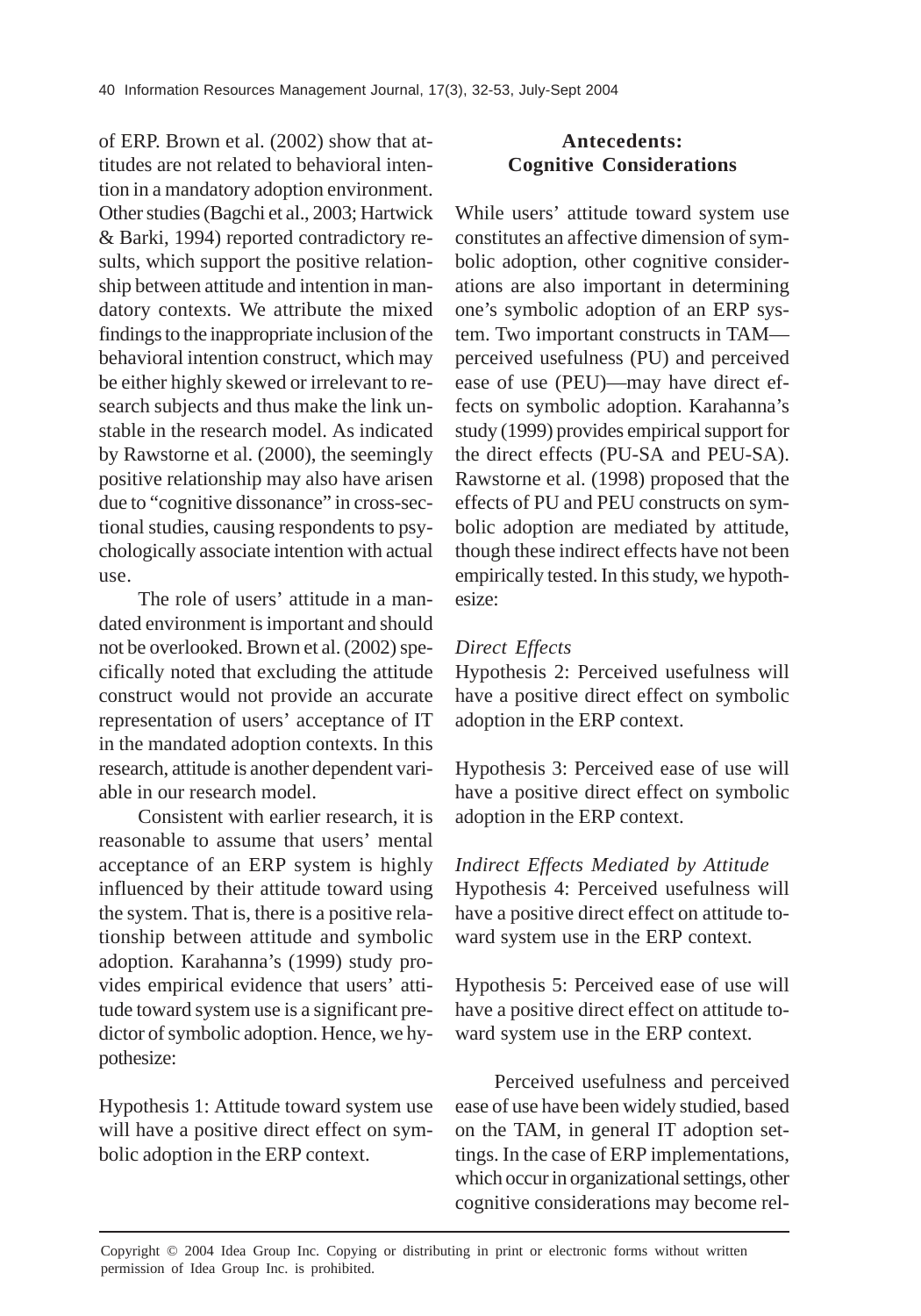of ERP. Brown et al. (2002) show that attitudes are not related to behavioral intention in a mandatory adoption environment. Other studies (Bagchi et al., 2003; Hartwick & Barki, 1994) reported contradictory results, which support the positive relationship between attitude and intention in mandatory contexts. We attribute the mixed findings to the inappropriate inclusion of the behavioral intention construct, which may be either highly skewed or irrelevant to research subjects and thus make the link unstable in the research model. As indicated by Rawstorne et al. (2000), the seemingly positive relationship may also have arisen due to "cognitive dissonance" in cross-sectional studies, causing respondents to psychologically associate intention with actual use.

The role of users' attitude in a mandated environment is important and should not be overlooked. Brown et al. (2002) specifically noted that excluding the attitude construct would not provide an accurate representation of users' acceptance of IT in the mandated adoption contexts. In this research, attitude is another dependent variable in our research model.

Consistent with earlier research, it is reasonable to assume that users' mental acceptance of an ERP system is highly influenced by their attitude toward using the system. That is, there is a positive relationship between attitude and symbolic adoption. Karahanna's (1999) study provides empirical evidence that users' attitude toward system use is a significant predictor of symbolic adoption. Hence, we hypothesize:

Hypothesis 1: Attitude toward system use will have a positive direct effect on symbolic adoption in the ERP context.

# **Antecedents: Cognitive Considerations**

While users' attitude toward system use constitutes an affective dimension of symbolic adoption, other cognitive considerations are also important in determining one's symbolic adoption of an ERP system. Two important constructs in TAM perceived usefulness (PU) and perceived ease of use (PEU)—may have direct effects on symbolic adoption. Karahanna's study (1999) provides empirical support for the direct effects (PU-SA and PEU-SA). Rawstorne et al. (1998) proposed that the effects of PU and PEU constructs on symbolic adoption are mediated by attitude, though these indirect effects have not been empirically tested. In this study, we hypothesize:

# *Direct Effects*

Hypothesis 2: Perceived usefulness will have a positive direct effect on symbolic adoption in the ERP context.

Hypothesis 3: Perceived ease of use will have a positive direct effect on symbolic adoption in the ERP context.

*Indirect Effects Mediated by Attitude* Hypothesis 4: Perceived usefulness will have a positive direct effect on attitude toward system use in the ERP context.

Hypothesis 5: Perceived ease of use will have a positive direct effect on attitude toward system use in the ERP context.

Perceived usefulness and perceived ease of use have been widely studied, based on the TAM, in general IT adoption settings. In the case of ERP implementations, which occur in organizational settings, other cognitive considerations may become rel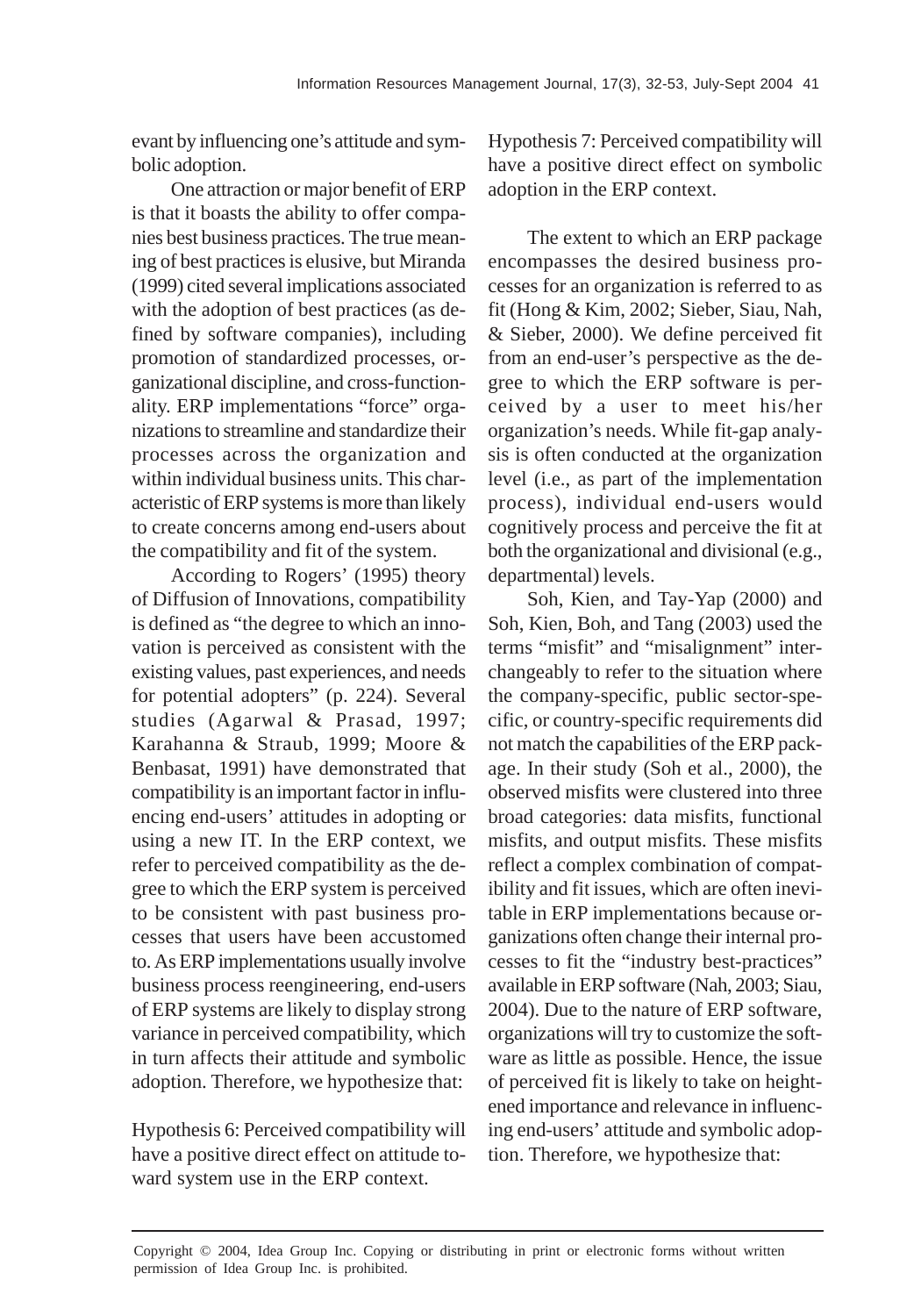evant by influencing one's attitude and symbolic adoption.

One attraction or major benefit of ERP is that it boasts the ability to offer companies best business practices. The true meaning of best practices is elusive, but Miranda (1999) cited several implications associated with the adoption of best practices (as defined by software companies), including promotion of standardized processes, organizational discipline, and cross-functionality. ERP implementations "force" organizations to streamline and standardize their processes across the organization and within individual business units. This characteristic of ERP systems is more than likely to create concerns among end-users about the compatibility and fit of the system.

According to Rogers' (1995) theory of Diffusion of Innovations, compatibility is defined as "the degree to which an innovation is perceived as consistent with the existing values, past experiences, and needs for potential adopters" (p. 224). Several studies (Agarwal & Prasad, 1997; Karahanna & Straub, 1999; Moore & Benbasat, 1991) have demonstrated that compatibility is an important factor in influencing end-users' attitudes in adopting or using a new IT. In the ERP context, we refer to perceived compatibility as the degree to which the ERP system is perceived to be consistent with past business processes that users have been accustomed to. As ERP implementations usually involve business process reengineering, end-users of ERP systems are likely to display strong variance in perceived compatibility, which in turn affects their attitude and symbolic adoption. Therefore, we hypothesize that:

Hypothesis 6: Perceived compatibility will have a positive direct effect on attitude toward system use in the ERP context.

Hypothesis 7: Perceived compatibility will have a positive direct effect on symbolic adoption in the ERP context.

The extent to which an ERP package encompasses the desired business processes for an organization is referred to as fit (Hong & Kim, 2002; Sieber, Siau, Nah, & Sieber, 2000). We define perceived fit from an end-user's perspective as the degree to which the ERP software is perceived by a user to meet his/her organization's needs. While fit-gap analysis is often conducted at the organization level (i.e., as part of the implementation process), individual end-users would cognitively process and perceive the fit at both the organizational and divisional (e.g., departmental) levels.

Soh, Kien, and Tay-Yap (2000) and Soh, Kien, Boh, and Tang (2003) used the terms "misfit" and "misalignment" interchangeably to refer to the situation where the company-specific, public sector-specific, or country-specific requirements did not match the capabilities of the ERP package. In their study (Soh et al., 2000), the observed misfits were clustered into three broad categories: data misfits, functional misfits, and output misfits. These misfits reflect a complex combination of compatibility and fit issues, which are often inevitable in ERP implementations because organizations often change their internal processes to fit the "industry best-practices" available in ERP software (Nah, 2003; Siau, 2004). Due to the nature of ERP software, organizations will try to customize the software as little as possible. Hence, the issue of perceived fit is likely to take on heightened importance and relevance in influencing end-users' attitude and symbolic adoption. Therefore, we hypothesize that: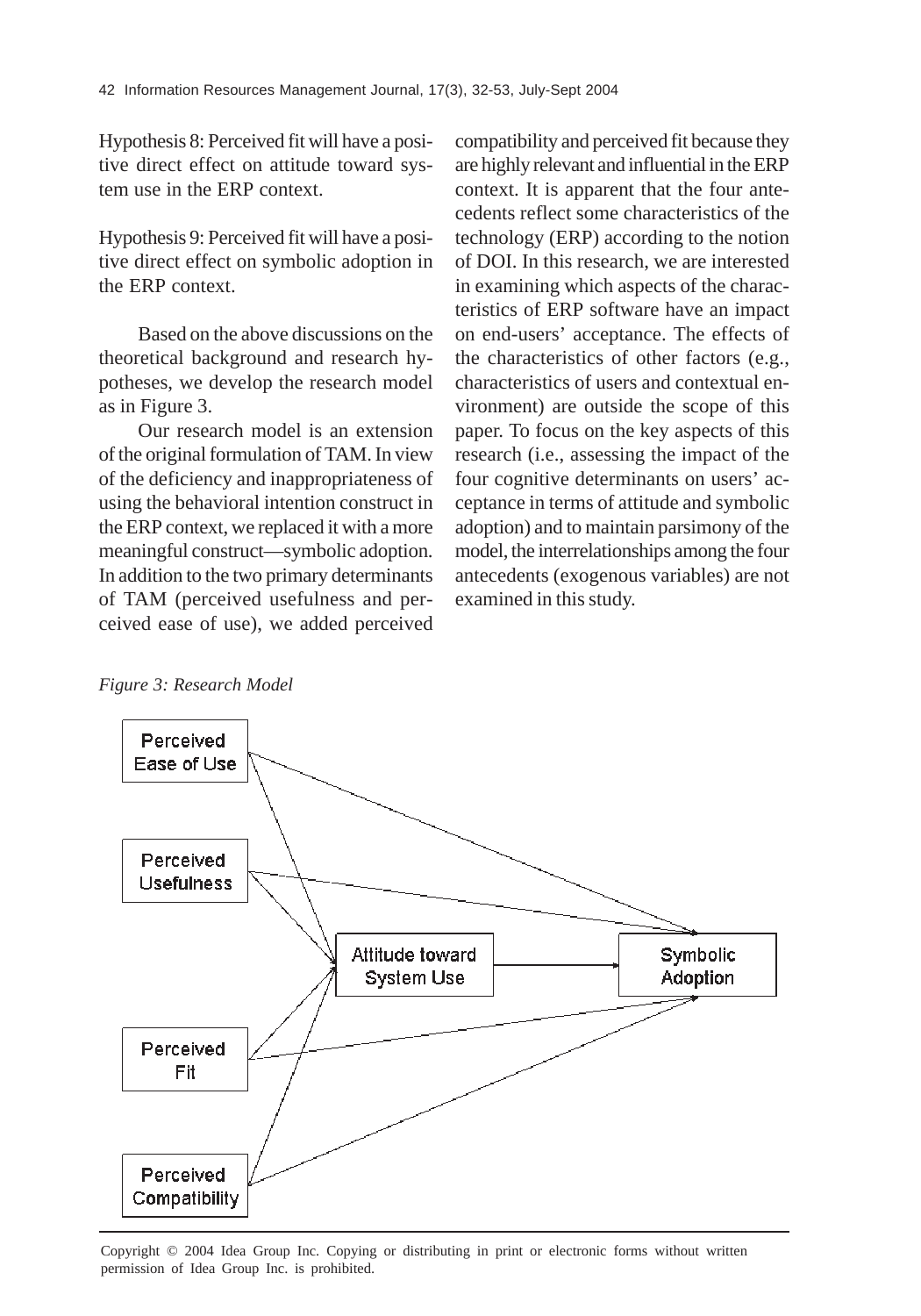Hypothesis 8: Perceived fit will have a positive direct effect on attitude toward system use in the ERP context.

Hypothesis 9: Perceived fit will have a positive direct effect on symbolic adoption in the ERP context.

Based on the above discussions on the theoretical background and research hypotheses, we develop the research model as in Figure 3.

Our research model is an extension of the original formulation of TAM. In view of the deficiency and inappropriateness of using the behavioral intention construct in the ERP context, we replaced it with a more meaningful construct—symbolic adoption. In addition to the two primary determinants of TAM (perceived usefulness and perceived ease of use), we added perceived compatibility and perceived fit because they are highly relevant and influential in the ERP context. It is apparent that the four antecedents reflect some characteristics of the technology (ERP) according to the notion of DOI. In this research, we are interested in examining which aspects of the characteristics of ERP software have an impact on end-users' acceptance. The effects of the characteristics of other factors (e.g., characteristics of users and contextual environment) are outside the scope of this paper. To focus on the key aspects of this research (i.e., assessing the impact of the four cognitive determinants on users' acceptance in terms of attitude and symbolic adoption) and to maintain parsimony of the model, the interrelationships among the four antecedents (exogenous variables) are not examined in this study.

*Figure 3: Research Model*



Copyright © 2004 Idea Group Inc. Copying or distributing in print or electronic forms without written permission of Idea Group Inc. is prohibited.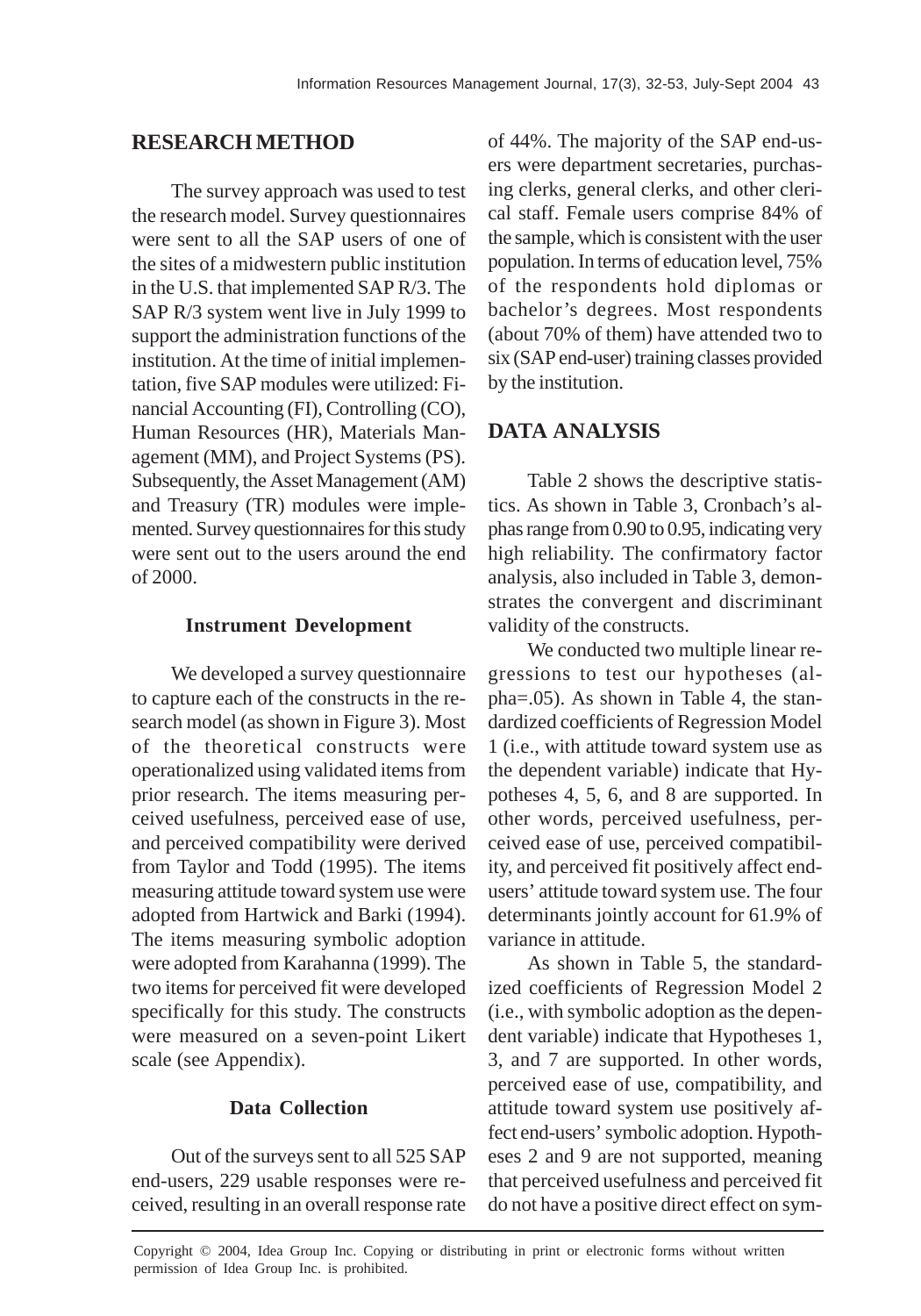# **RESEARCH METHOD**

The survey approach was used to test the research model. Survey questionnaires were sent to all the SAP users of one of the sites of a midwestern public institution in the U.S. that implemented SAP R/3. The SAP R/3 system went live in July 1999 to support the administration functions of the institution. At the time of initial implementation, five SAP modules were utilized: Financial Accounting (FI), Controlling (CO), Human Resources (HR), Materials Management (MM), and Project Systems (PS). Subsequently, the Asset Management (AM) and Treasury (TR) modules were implemented. Survey questionnaires for this study were sent out to the users around the end of 2000.

#### **Instrument Development**

We developed a survey questionnaire to capture each of the constructs in the research model (as shown in Figure 3). Most of the theoretical constructs were operationalized using validated items from prior research. The items measuring perceived usefulness, perceived ease of use, and perceived compatibility were derived from Taylor and Todd (1995). The items measuring attitude toward system use were adopted from Hartwick and Barki (1994). The items measuring symbolic adoption were adopted from Karahanna (1999). The two items for perceived fit were developed specifically for this study. The constructs were measured on a seven-point Likert scale (see Appendix).

## **Data Collection**

Out of the surveys sent to all 525 SAP end-users, 229 usable responses were received, resulting in an overall response rate

of 44%. The majority of the SAP end-users were department secretaries, purchasing clerks, general clerks, and other clerical staff. Female users comprise 84% of the sample, which is consistent with the user population. In terms of education level, 75% of the respondents hold diplomas or bachelor's degrees. Most respondents (about 70% of them) have attended two to six (SAP end-user) training classes provided by the institution.

# **DATA ANALYSIS**

Table 2 shows the descriptive statistics. As shown in Table 3, Cronbach's alphas range from 0.90 to 0.95, indicating very high reliability. The confirmatory factor analysis, also included in Table 3, demonstrates the convergent and discriminant validity of the constructs.

We conducted two multiple linear regressions to test our hypotheses (alpha=.05). As shown in Table 4, the standardized coefficients of Regression Model 1 (i.e., with attitude toward system use as the dependent variable) indicate that Hypotheses 4, 5, 6, and 8 are supported. In other words, perceived usefulness, perceived ease of use, perceived compatibility, and perceived fit positively affect endusers' attitude toward system use. The four determinants jointly account for 61.9% of variance in attitude.

As shown in Table 5, the standardized coefficients of Regression Model 2 (i.e., with symbolic adoption as the dependent variable) indicate that Hypotheses 1, 3, and 7 are supported. In other words, perceived ease of use, compatibility, and attitude toward system use positively affect end-users' symbolic adoption. Hypotheses 2 and 9 are not supported, meaning that perceived usefulness and perceived fit do not have a positive direct effect on sym-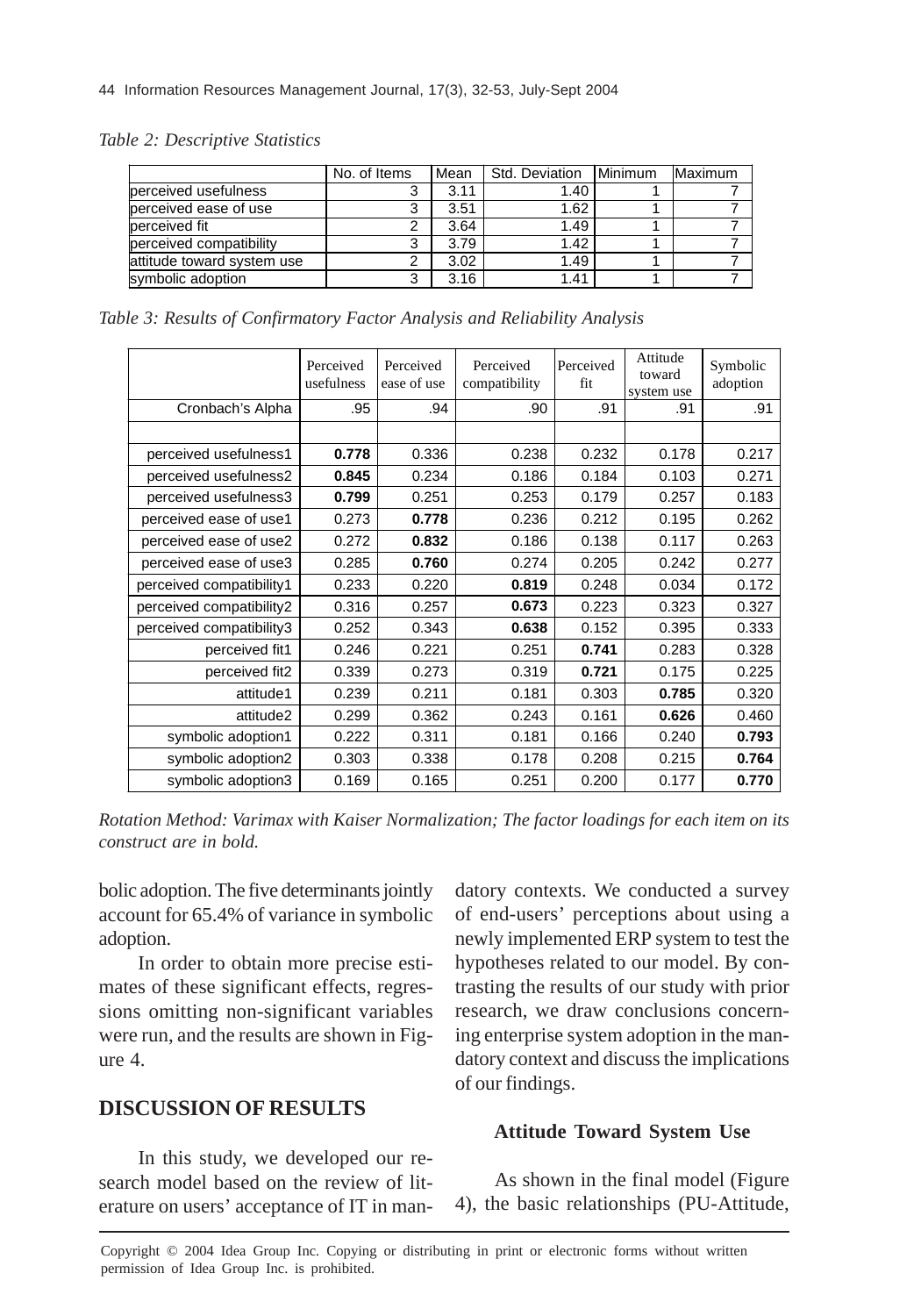#### *Table 2: Descriptive Statistics*

|                            | No. of Items | Mean | Std. Deviation | Minimum | Maximum |
|----------------------------|--------------|------|----------------|---------|---------|
| berceived usefulness       |              | 3.11 | 1.40           |         |         |
| perceived ease of use      |              | 3.51 | 1.62           |         |         |
| berceived fit              |              | 3.64 | 1.49           |         |         |
| perceived compatibility    |              | 3.79 | 1.42           |         |         |
| attitude toward system use |              | 3.02 | 1.49           |         |         |
| symbolic adoption          |              | 3.16 | 1.41           |         |         |

*Table 3: Results of Confirmatory Factor Analysis and Reliability Analysis*

|                          | Perceived<br>usefulness | Perceived<br>ease of use | Perceived<br>compatibility | Perceived<br>fit | Attitude<br>toward<br>system use | Symbolic<br>adoption |
|--------------------------|-------------------------|--------------------------|----------------------------|------------------|----------------------------------|----------------------|
| Cronbach's Alpha         | .95                     | .94                      | .90                        | .91              | .91                              | .91                  |
|                          |                         |                          |                            |                  |                                  |                      |
| perceived usefulness1    | 0.778                   | 0.336                    | 0.238                      | 0.232            | 0.178                            | 0.217                |
| perceived usefulness2    | 0.845                   | 0.234                    | 0.186                      | 0.184            | 0.103                            | 0.271                |
| perceived usefulness3    | 0.799                   | 0.251                    | 0.253                      | 0.179            | 0.257                            | 0.183                |
| perceived ease of use1   | 0.273                   | 0.778                    | 0.236                      | 0.212            | 0.195                            | 0.262                |
| perceived ease of use2   | 0.272                   | 0.832                    | 0.186                      | 0.138            | 0.117                            | 0.263                |
| perceived ease of use3   | 0.285                   | 0.760                    | 0.274                      | 0.205            | 0.242                            | 0.277                |
| perceived compatibility1 | 0.233                   | 0.220                    | 0.819                      | 0.248            | 0.034                            | 0.172                |
| perceived compatibility2 | 0.316                   | 0.257                    | 0.673                      | 0.223            | 0.323                            | 0.327                |
| perceived compatibility3 | 0.252                   | 0.343                    | 0.638                      | 0.152            | 0.395                            | 0.333                |
| perceived fit1           | 0.246                   | 0.221                    | 0.251                      | 0.741            | 0.283                            | 0.328                |
| perceived fit2           | 0.339                   | 0.273                    | 0.319                      | 0.721            | 0.175                            | 0.225                |
| attitude1                | 0.239                   | 0.211                    | 0.181                      | 0.303            | 0.785                            | 0.320                |
| attitude2                | 0.299                   | 0.362                    | 0.243                      | 0.161            | 0.626                            | 0.460                |
| symbolic adoption1       | 0.222                   | 0.311                    | 0.181                      | 0.166            | 0.240                            | 0.793                |
| symbolic adoption2       | 0.303                   | 0.338                    | 0.178                      | 0.208            | 0.215                            | 0.764                |
| symbolic adoption3       | 0.169                   | 0.165                    | 0.251                      | 0.200            | 0.177                            | 0.770                |

*Rotation Method: Varimax with Kaiser Normalization; The factor loadings for each item on its construct are in bold.*

bolic adoption. The five determinants jointly account for 65.4% of variance in symbolic adoption.

In order to obtain more precise estimates of these significant effects, regressions omitting non-significant variables were run, and the results are shown in Figure 4.

## **DISCUSSION OF RESULTS**

In this study, we developed our research model based on the review of literature on users' acceptance of IT in mandatory contexts. We conducted a survey of end-users' perceptions about using a newly implemented ERP system to test the hypotheses related to our model. By contrasting the results of our study with prior research, we draw conclusions concerning enterprise system adoption in the mandatory context and discuss the implications of our findings.

#### **Attitude Toward System Use**

As shown in the final model (Figure 4), the basic relationships (PU-Attitude,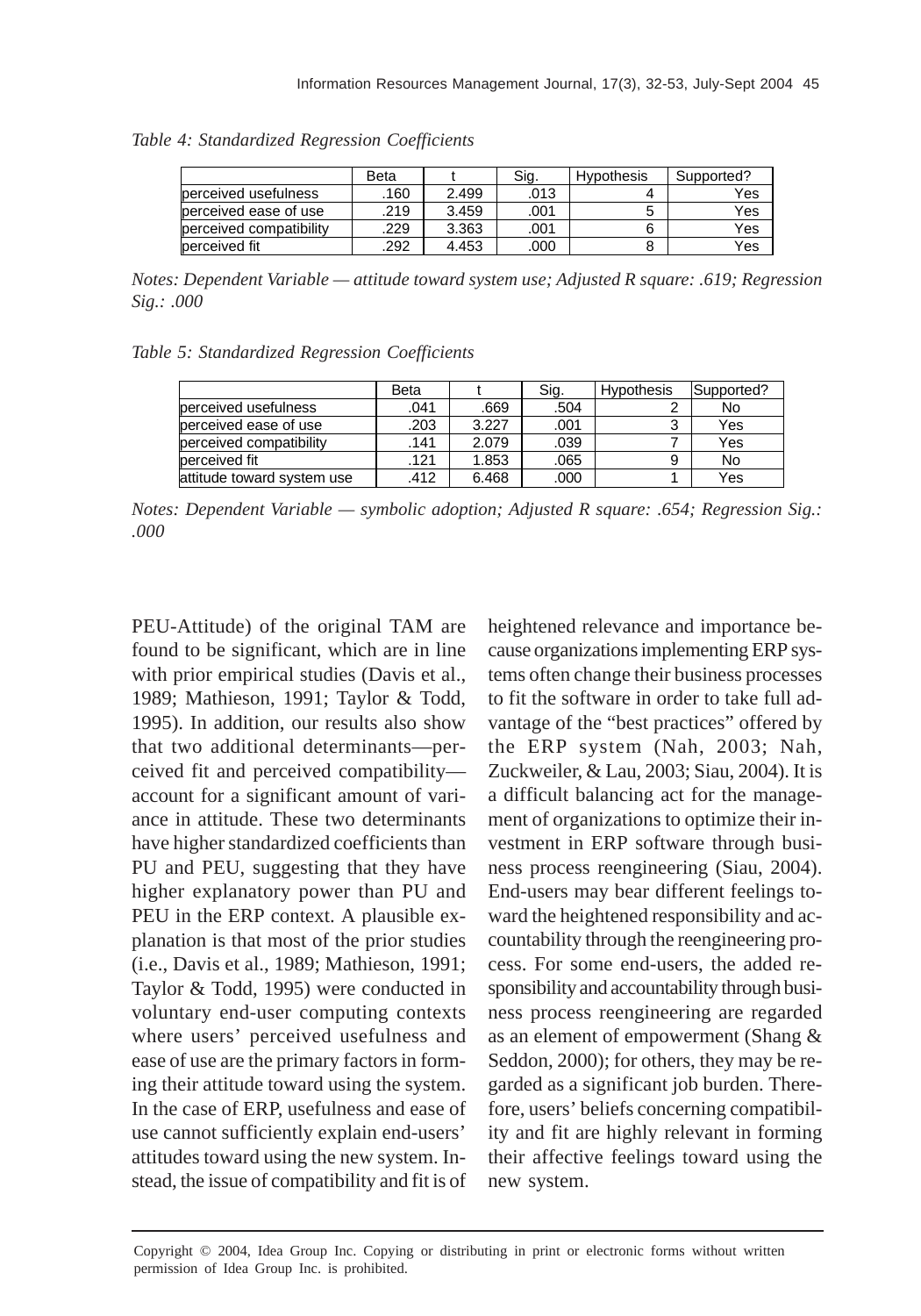|                         | Beta |       | Sig. | <b>Hypothesis</b> | Supported? |
|-------------------------|------|-------|------|-------------------|------------|
| perceived usefulness    | .160 | 2.499 | .013 |                   | Yes        |
| perceived ease of use   | 219  | 3.459 | .001 |                   | Yes        |
| perceived compatibility | 229  | 3.363 | .001 |                   | Yes        |
| perceived fit           | 292  | 4.453 | .000 |                   | Yes        |

*Table 4: Standardized Regression Coefficients*

*Notes: Dependent Variable — attitude toward system use; Adjusted R square: .619; Regression Sig.: .000*

|  |  |  | Table 5: Standardized Regression Coefficients |  |  |
|--|--|--|-----------------------------------------------|--|--|
|--|--|--|-----------------------------------------------|--|--|

|                            | Beta |       | Sig. | <b>Hypothesis</b> | Supported? |
|----------------------------|------|-------|------|-------------------|------------|
| berceived usefulness       | .041 | .669  | .504 |                   | No         |
| perceived ease of use      | .203 | 3.227 | .001 |                   | Yes        |
| perceived compatibility    | .141 | 2.079 | .039 |                   | Yes        |
| perceived fit              | .121 | 1.853 | .065 | 9                 | No         |
| attitude toward system use | .412 | 6.468 | .000 |                   | Yes        |

*Notes: Dependent Variable — symbolic adoption; Adjusted R square: .654; Regression Sig.: .000*

PEU-Attitude) of the original TAM are found to be significant, which are in line with prior empirical studies (Davis et al., 1989; Mathieson, 1991; Taylor & Todd, 1995). In addition, our results also show that two additional determinants—perceived fit and perceived compatibility account for a significant amount of variance in attitude. These two determinants have higher standardized coefficients than PU and PEU, suggesting that they have higher explanatory power than PU and PEU in the ERP context. A plausible explanation is that most of the prior studies (i.e., Davis et al., 1989; Mathieson, 1991; Taylor & Todd, 1995) were conducted in voluntary end-user computing contexts where users' perceived usefulness and ease of use are the primary factors in forming their attitude toward using the system. In the case of ERP, usefulness and ease of use cannot sufficiently explain end-users' attitudes toward using the new system. Instead, the issue of compatibility and fit is of

heightened relevance and importance because organizations implementing ERP systems often change their business processes to fit the software in order to take full advantage of the "best practices" offered by the ERP system (Nah, 2003; Nah, Zuckweiler, & Lau, 2003; Siau, 2004). It is a difficult balancing act for the management of organizations to optimize their investment in ERP software through business process reengineering (Siau, 2004). End-users may bear different feelings toward the heightened responsibility and accountability through the reengineering process. For some end-users, the added responsibility and accountability through business process reengineering are regarded as an element of empowerment (Shang & Seddon, 2000); for others, they may be regarded as a significant job burden. Therefore, users' beliefs concerning compatibility and fit are highly relevant in forming their affective feelings toward using the new system.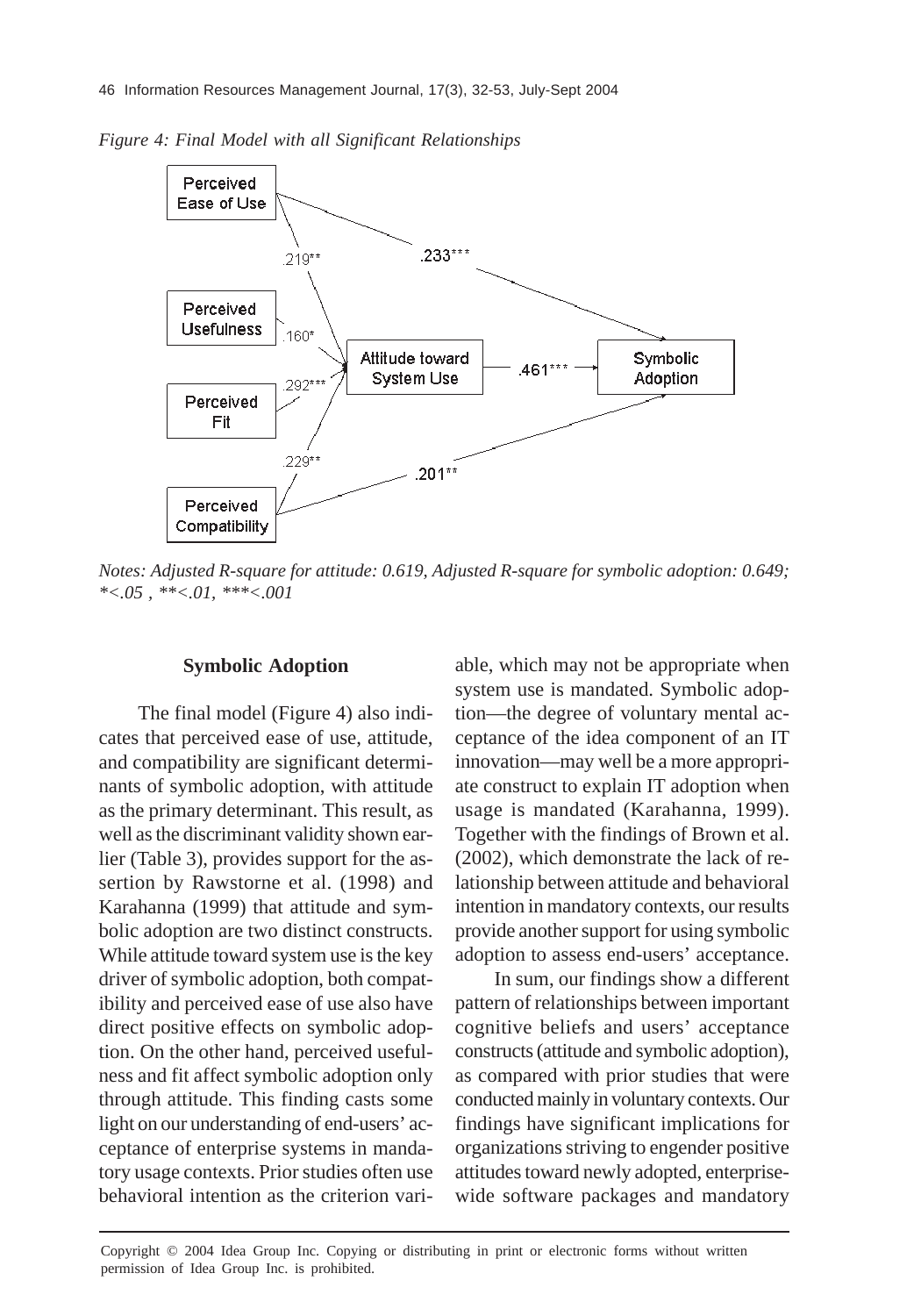*Figure 4: Final Model with all Significant Relationships*



*Notes: Adjusted R-square for attitude: 0.619, Adjusted R-square for symbolic adoption: 0.649; \*<.05 , \*\*<.01, \*\*\*<.001*

#### **Symbolic Adoption**

The final model (Figure 4) also indicates that perceived ease of use, attitude, and compatibility are significant determinants of symbolic adoption, with attitude as the primary determinant. This result, as well as the discriminant validity shown earlier (Table 3), provides support for the assertion by Rawstorne et al. (1998) and Karahanna (1999) that attitude and symbolic adoption are two distinct constructs. While attitude toward system use is the key driver of symbolic adoption, both compatibility and perceived ease of use also have direct positive effects on symbolic adoption. On the other hand, perceived usefulness and fit affect symbolic adoption only through attitude. This finding casts some light on our understanding of end-users' acceptance of enterprise systems in mandatory usage contexts. Prior studies often use behavioral intention as the criterion variable, which may not be appropriate when system use is mandated. Symbolic adoption—the degree of voluntary mental acceptance of the idea component of an IT innovation—may well be a more appropriate construct to explain IT adoption when usage is mandated (Karahanna, 1999). Together with the findings of Brown et al. (2002), which demonstrate the lack of relationship between attitude and behavioral intention in mandatory contexts, our results provide another support for using symbolic adoption to assess end-users' acceptance.

In sum, our findings show a different pattern of relationships between important cognitive beliefs and users' acceptance constructs (attitude and symbolic adoption), as compared with prior studies that were conducted mainly in voluntary contexts. Our findings have significant implications for organizations striving to engender positive attitudes toward newly adopted, enterprisewide software packages and mandatory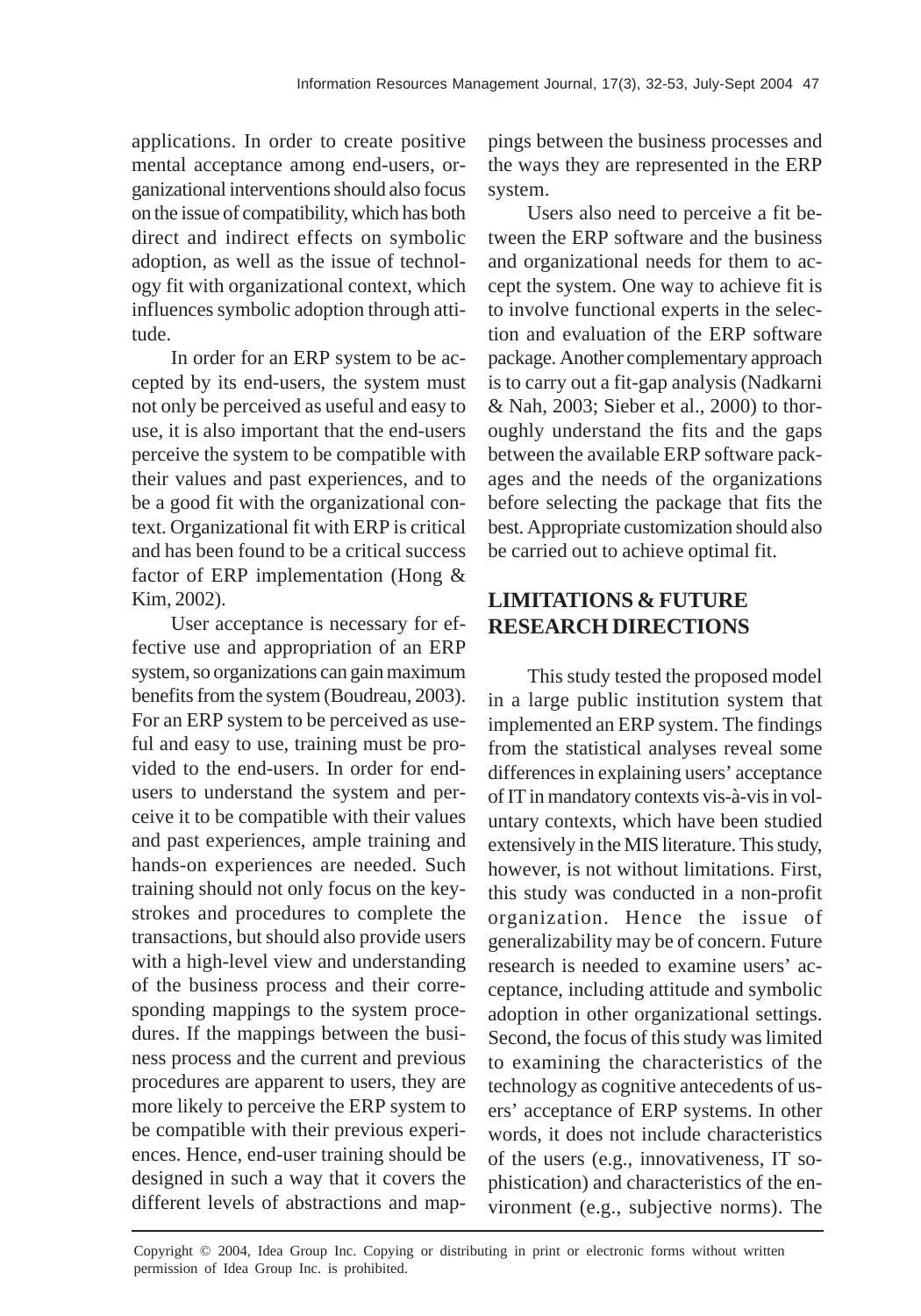applications. In order to create positive mental acceptance among end-users, organizational interventions should also focus on the issue of compatibility, which has both direct and indirect effects on symbolic adoption, as well as the issue of technology fit with organizational context, which influences symbolic adoption through attitude.

In order for an ERP system to be accepted by its end-users, the system must not only be perceived as useful and easy to use, it is also important that the end-users perceive the system to be compatible with their values and past experiences, and to be a good fit with the organizational context. Organizational fit with ERP is critical and has been found to be a critical success factor of ERP implementation (Hong & Kim, 2002).

User acceptance is necessary for effective use and appropriation of an ERP system, so organizations can gain maximum benefits from the system (Boudreau, 2003). For an ERP system to be perceived as useful and easy to use, training must be provided to the end-users. In order for endusers to understand the system and perceive it to be compatible with their values and past experiences, ample training and hands-on experiences are needed. Such training should not only focus on the keystrokes and procedures to complete the transactions, but should also provide users with a high-level view and understanding of the business process and their corresponding mappings to the system procedures. If the mappings between the business process and the current and previous procedures are apparent to users, they are more likely to perceive the ERP system to be compatible with their previous experiences. Hence, end-user training should be designed in such a way that it covers the different levels of abstractions and mappings between the business processes and the ways they are represented in the ERP system.

Users also need to perceive a fit between the ERP software and the business and organizational needs for them to accept the system. One way to achieve fit is to involve functional experts in the selection and evaluation of the ERP software package. Another complementary approach is to carry out a fit-gap analysis (Nadkarni & Nah, 2003; Sieber et al., 2000) to thoroughly understand the fits and the gaps between the available ERP software packages and the needs of the organizations before selecting the package that fits the best. Appropriate customization should also be carried out to achieve optimal fit.

# **LIMITATIONS & FUTURE RESEARCH DIRECTIONS**

This study tested the proposed model in a large public institution system that implemented an ERP system. The findings from the statistical analyses reveal some differences in explaining users' acceptance of IT in mandatory contexts vis-à-vis in voluntary contexts, which have been studied extensively in the MIS literature. This study, however, is not without limitations. First, this study was conducted in a non-profit organization. Hence the issue of generalizability may be of concern. Future research is needed to examine users' acceptance, including attitude and symbolic adoption in other organizational settings. Second, the focus of this study was limited to examining the characteristics of the technology as cognitive antecedents of users' acceptance of ERP systems. In other words, it does not include characteristics of the users (e.g., innovativeness, IT sophistication) and characteristics of the environment (e.g., subjective norms). The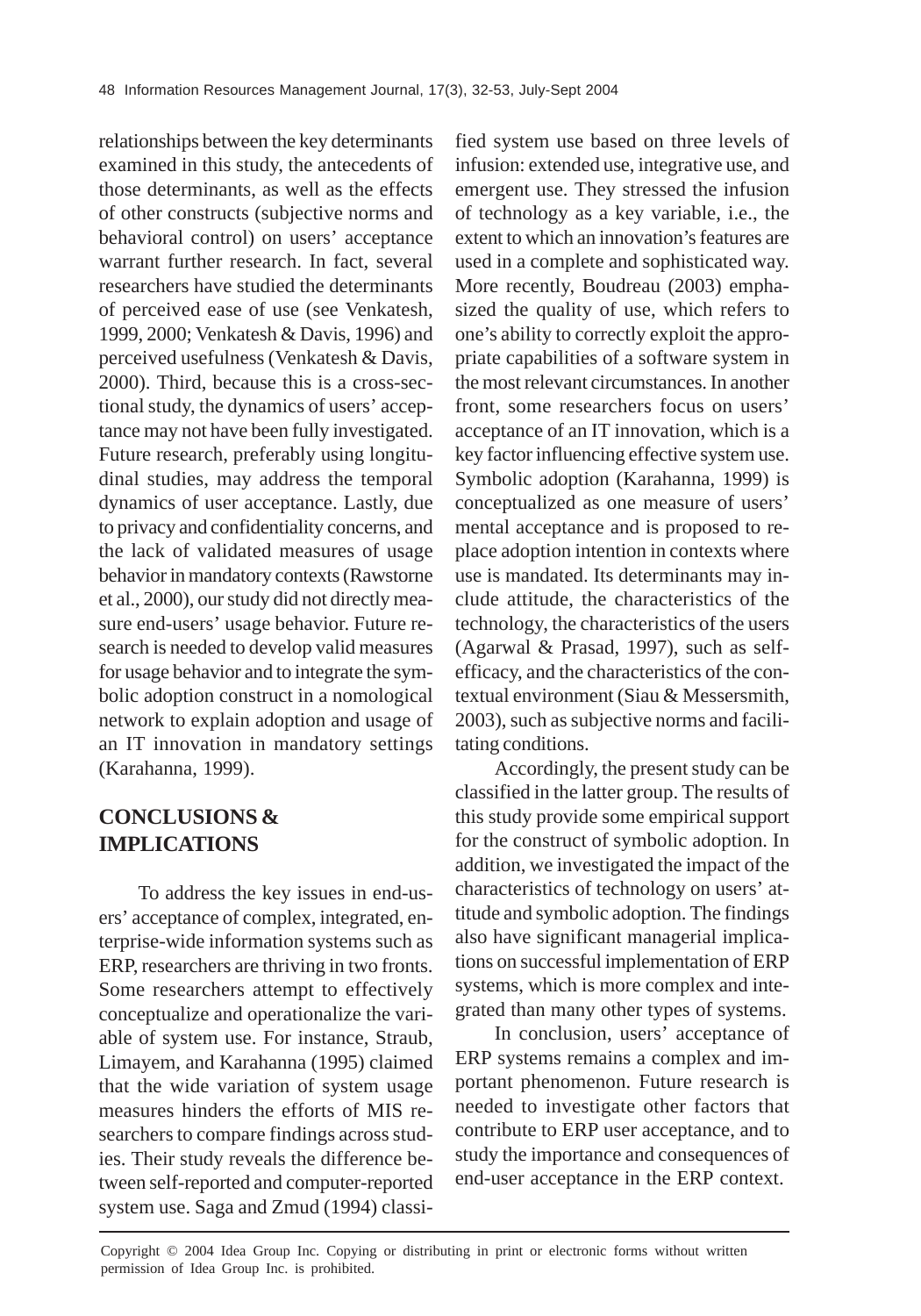relationships between the key determinants examined in this study, the antecedents of those determinants, as well as the effects of other constructs (subjective norms and behavioral control) on users' acceptance warrant further research. In fact, several researchers have studied the determinants of perceived ease of use (see Venkatesh, 1999, 2000; Venkatesh & Davis, 1996) and perceived usefulness (Venkatesh & Davis, 2000). Third, because this is a cross-sectional study, the dynamics of users' acceptance may not have been fully investigated. Future research, preferably using longitudinal studies, may address the temporal dynamics of user acceptance. Lastly, due to privacy and confidentiality concerns, and the lack of validated measures of usage behavior in mandatory contexts (Rawstorne et al., 2000), our study did not directly measure end-users' usage behavior. Future research is needed to develop valid measures for usage behavior and to integrate the symbolic adoption construct in a nomological network to explain adoption and usage of an IT innovation in mandatory settings (Karahanna, 1999).

# **CONCLUSIONS & IMPLICATIONS**

To address the key issues in end-users' acceptance of complex, integrated, enterprise-wide information systems such as ERP, researchers are thriving in two fronts. Some researchers attempt to effectively conceptualize and operationalize the variable of system use. For instance, Straub, Limayem, and Karahanna (1995) claimed that the wide variation of system usage measures hinders the efforts of MIS researchers to compare findings across studies. Their study reveals the difference between self-reported and computer-reported system use. Saga and Zmud (1994) classified system use based on three levels of infusion: extended use, integrative use, and emergent use. They stressed the infusion of technology as a key variable, i.e., the extent to which an innovation's features are used in a complete and sophisticated way. More recently, Boudreau (2003) emphasized the quality of use, which refers to one's ability to correctly exploit the appropriate capabilities of a software system in the most relevant circumstances. In another front, some researchers focus on users' acceptance of an IT innovation, which is a key factor influencing effective system use. Symbolic adoption (Karahanna, 1999) is conceptualized as one measure of users' mental acceptance and is proposed to replace adoption intention in contexts where use is mandated. Its determinants may include attitude, the characteristics of the technology, the characteristics of the users (Agarwal & Prasad, 1997), such as selfefficacy, and the characteristics of the contextual environment (Siau & Messersmith, 2003), such as subjective norms and facilitating conditions.

Accordingly, the present study can be classified in the latter group. The results of this study provide some empirical support for the construct of symbolic adoption. In addition, we investigated the impact of the characteristics of technology on users' attitude and symbolic adoption. The findings also have significant managerial implications on successful implementation of ERP systems, which is more complex and integrated than many other types of systems.

In conclusion, users' acceptance of ERP systems remains a complex and important phenomenon. Future research is needed to investigate other factors that contribute to ERP user acceptance, and to study the importance and consequences of end-user acceptance in the ERP context.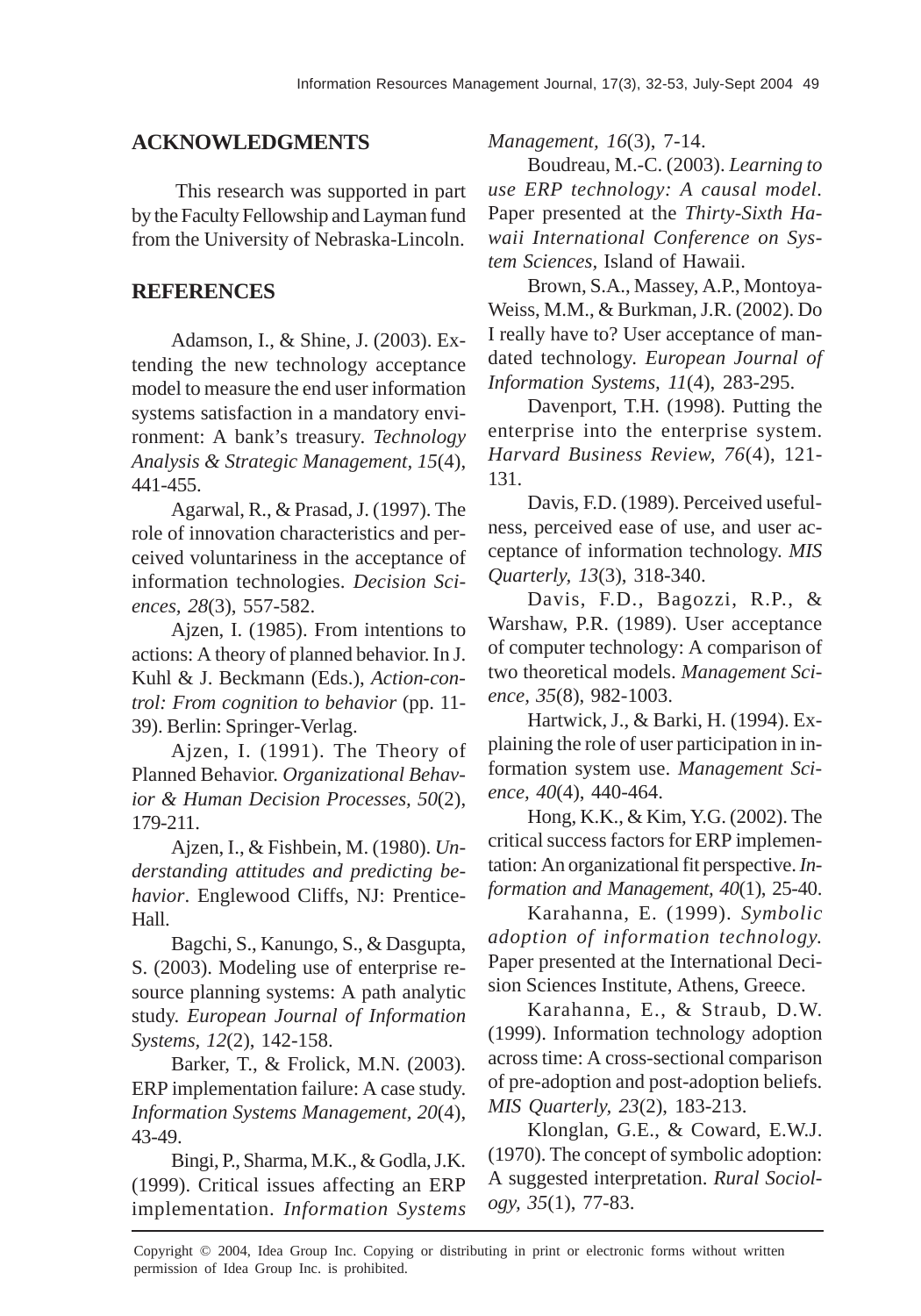# **ACKNOWLEDGMENTS**

This research was supported in part by the Faculty Fellowship and Layman fund from the University of Nebraska-Lincoln.

# **REFERENCES**

Adamson, I., & Shine, J. (2003). Extending the new technology acceptance model to measure the end user information systems satisfaction in a mandatory environment: A bank's treasury. *Technology Analysis & Strategic Management, 15*(4), 441-455.

Agarwal, R., & Prasad, J. (1997). The role of innovation characteristics and perceived voluntariness in the acceptance of information technologies. *Decision Sciences, 28*(3), 557-582.

Ajzen, I. (1985). From intentions to actions: A theory of planned behavior. In J. Kuhl & J. Beckmann (Eds.), *Action-control: From cognition to behavior* (pp. 11- 39). Berlin: Springer-Verlag.

Ajzen, I. (1991). The Theory of Planned Behavior. *Organizational Behavior & Human Decision Processes, 50*(2), 179-211.

Ajzen, I., & Fishbein, M. (1980). *Understanding attitudes and predicting behavior*. Englewood Cliffs, NJ: Prentice-Hall.

Bagchi, S., Kanungo, S., & Dasgupta, S. (2003). Modeling use of enterprise resource planning systems: A path analytic study. *European Journal of Information Systems, 12*(2), 142-158.

Barker, T., & Frolick, M.N. (2003). ERP implementation failure: A case study. *Information Systems Management, 20*(4), 43-49.

Bingi, P., Sharma, M.K., & Godla, J.K. (1999). Critical issues affecting an ERP implementation. *Information Systems* *Management, 16*(3), 7-14.

Boudreau, M.-C. (2003). *Learning to use ERP technology: A causal model.* Paper presented at the *Thirty-Sixth Hawaii International Conference on System Sciences,* Island of Hawaii.

Brown, S.A., Massey, A.P., Montoya-Weiss, M.M., & Burkman, J.R. (2002). Do I really have to? User acceptance of mandated technology. *European Journal of Information Systems, 11*(4), 283-295.

Davenport, T.H. (1998). Putting the enterprise into the enterprise system. *Harvard Business Review, 76*(4), 121- 131.

Davis, F.D. (1989). Perceived usefulness, perceived ease of use, and user acceptance of information technology. *MIS Quarterly, 13*(3), 318-340.

Davis, F.D., Bagozzi, R.P., & Warshaw, P.R. (1989). User acceptance of computer technology: A comparison of two theoretical models. *Management Science, 35*(8), 982-1003.

Hartwick, J., & Barki, H. (1994). Explaining the role of user participation in information system use. *Management Science, 40*(4), 440-464.

Hong, K.K., & Kim, Y.G. (2002). The critical success factors for ERP implementation: An organizational fit perspective. *Information and Management, 40*(1), 25-40.

Karahanna, E. (1999). *Symbolic adoption of information technology.* Paper presented at the International Decision Sciences Institute, Athens, Greece.

Karahanna, E., & Straub, D.W. (1999). Information technology adoption across time: A cross-sectional comparison of pre-adoption and post-adoption beliefs. *MIS Quarterly, 23*(2), 183-213.

Klonglan, G.E., & Coward, E.W.J. (1970). The concept of symbolic adoption: A suggested interpretation. *Rural Sociology, 35*(1), 77-83.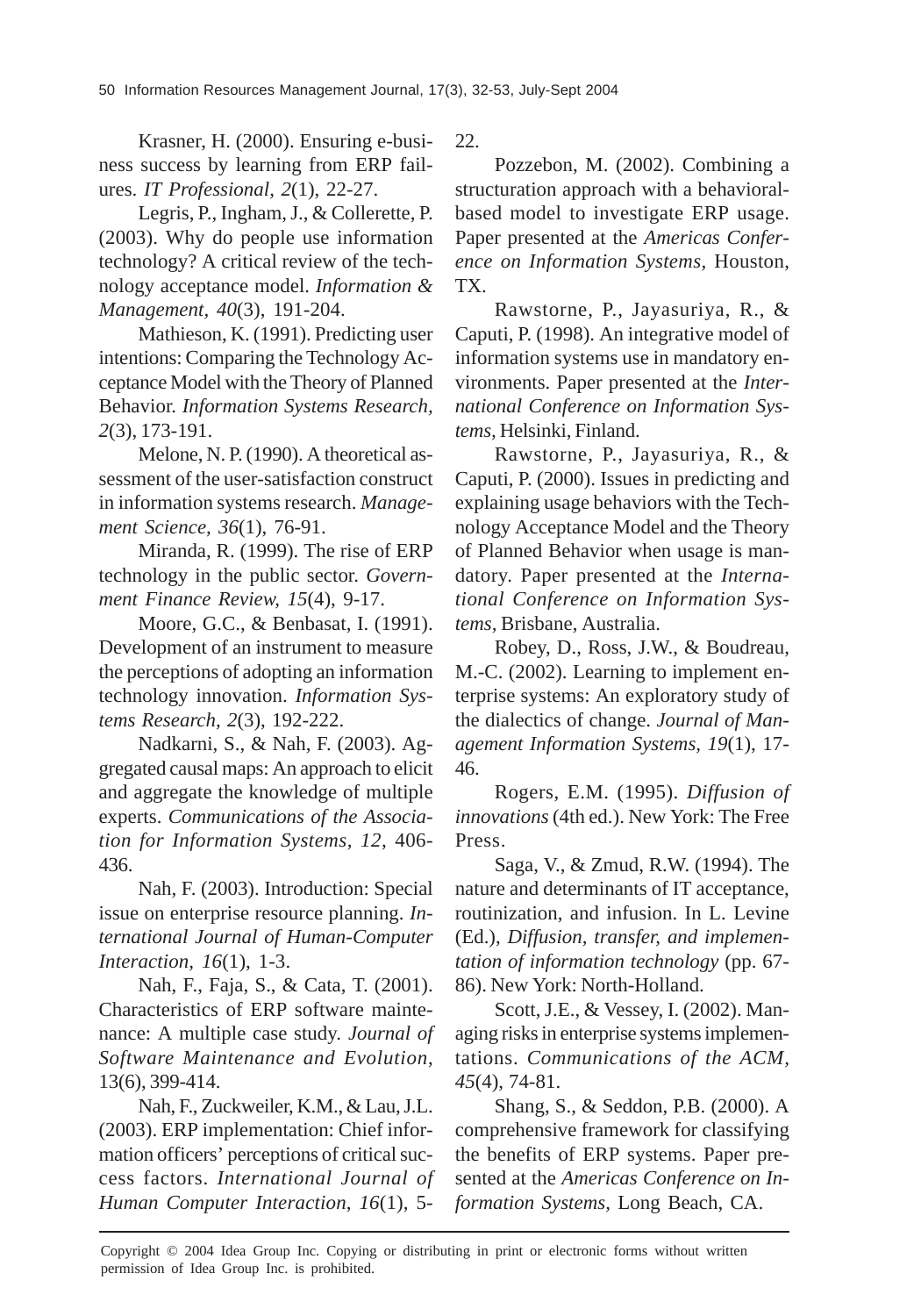Krasner, H. (2000). Ensuring e-business success by learning from ERP failures. *IT Professional*, *2*(1), 22-27.

Legris, P., Ingham, J., & Collerette, P. (2003). Why do people use information technology? A critical review of the technology acceptance model. *Information & Management, 40*(3), 191-204.

Mathieson, K. (1991). Predicting user intentions: Comparing the Technology Acceptance Model with the Theory of Planned Behavior. *Information Systems Research, 2*(3), 173-191.

Melone, N. P. (1990). A theoretical assessment of the user-satisfaction construct in information systems research. *Management Science, 36*(1), 76-91.

Miranda, R. (1999). The rise of ERP technology in the public sector. *Government Finance Review, 15*(4), 9-17.

Moore, G.C., & Benbasat, I. (1991). Development of an instrument to measure the perceptions of adopting an information technology innovation. *Information Systems Research, 2*(3), 192-222.

Nadkarni, S., & Nah, F. (2003). Aggregated causal maps: An approach to elicit and aggregate the knowledge of multiple experts. *Communications of the Association for Information Systems, 12*, 406- 436.

Nah, F. (2003). Introduction: Special issue on enterprise resource planning. *International Journal of Human-Computer Interaction, 16*(1), 1-3.

Nah, F., Faja, S., & Cata, T. (2001). Characteristics of ERP software maintenance: A multiple case study. *Journal of Software Maintenance and Evolution*, 13(6), 399-414.

Nah, F., Zuckweiler, K.M., & Lau, J.L. (2003). ERP implementation: Chief information officers' perceptions of critical success factors. *International Journal of Human Computer Interaction*, *16*(1), 522.

Pozzebon, M. (2002). Combining a structuration approach with a behavioralbased model to investigate ERP usage. Paper presented at the *Americas Conference on Information Systems,* Houston, TX.

Rawstorne, P., Jayasuriya, R., & Caputi, P. (1998). An integrative model of information systems use in mandatory environments*.* Paper presented at the *International Conference on Information Systems,* Helsinki, Finland.

Rawstorne, P., Jayasuriya, R., & Caputi, P. (2000). Issues in predicting and explaining usage behaviors with the Technology Acceptance Model and the Theory of Planned Behavior when usage is mandatory. Paper presented at the *International Conference on Information Systems,* Brisbane, Australia.

Robey, D., Ross, J.W., & Boudreau, M.-C. (2002). Learning to implement enterprise systems: An exploratory study of the dialectics of change. *Journal of Management Information Systems, 19*(1), 17- 46.

Rogers, E.M. (1995). *Diffusion of innovations* (4th ed.). New York: The Free Press.

Saga, V., & Zmud, R.W. (1994). The nature and determinants of IT acceptance, routinization, and infusion. In L. Levine (Ed.), *Diffusion, transfer, and implementation of information technology* (pp. 67- 86). New York: North-Holland.

Scott, J.E., & Vessey, I. (2002). Managing risks in enterprise systems implementations. *Communications of the ACM, 45*(4), 74-81.

Shang, S., & Seddon, P.B. (2000). A comprehensive framework for classifying the benefits of ERP systems. Paper presented at the *Americas Conference on Information Systems,* Long Beach, CA.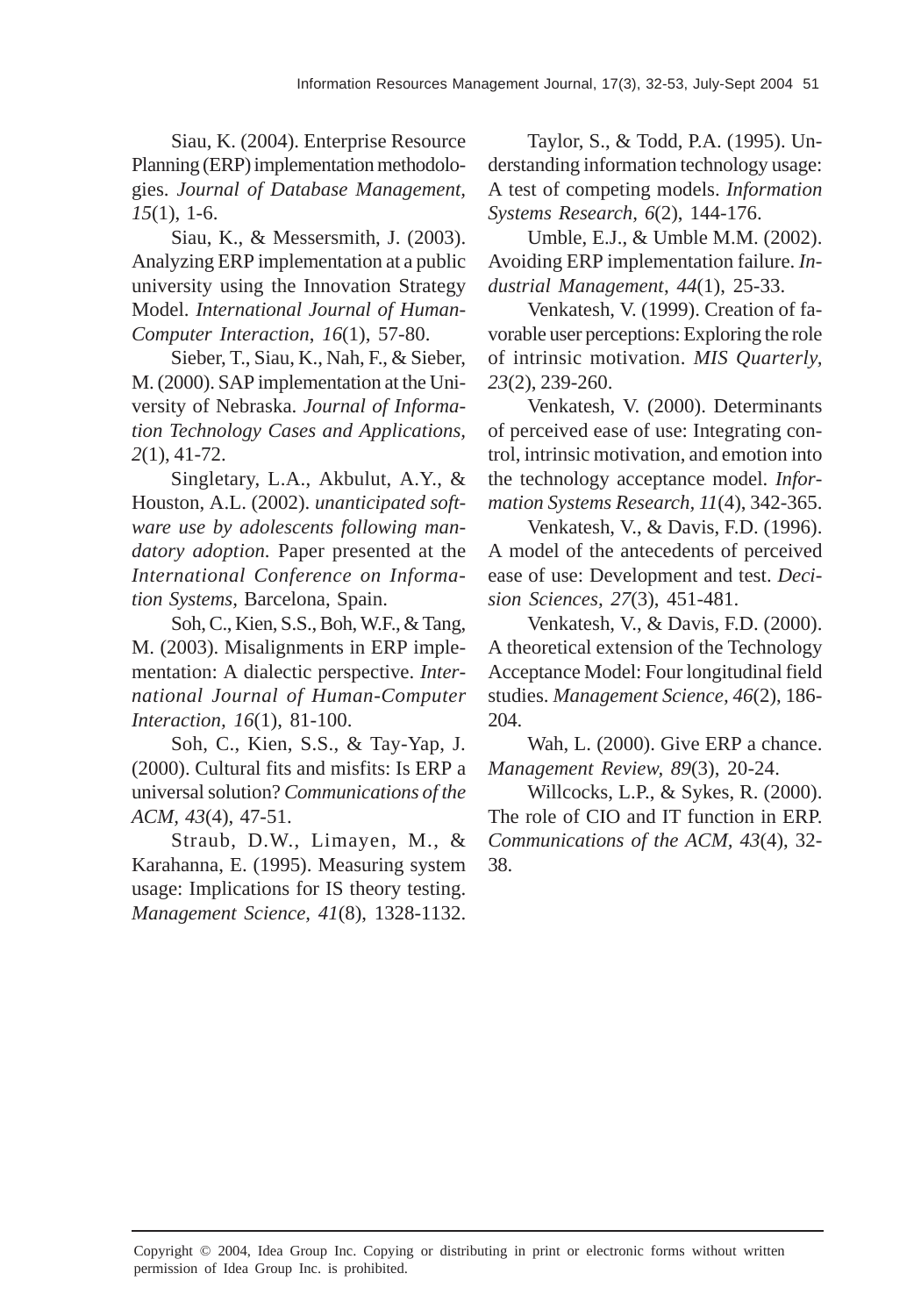Siau, K. (2004). Enterprise Resource Planning (ERP) implementation methodologies. *Journal of Database Management, 15*(1), 1-6.

Siau, K., & Messersmith, J. (2003). Analyzing ERP implementation at a public university using the Innovation Strategy Model. *International Journal of Human-Computer Interaction*, *16*(1), 57-80.

Sieber, T., Siau, K., Nah, F., & Sieber, M. (2000). SAP implementation at the University of Nebraska. *Journal of Information Technology Cases and Applications, 2*(1), 41-72.

Singletary, L.A., Akbulut, A.Y., & Houston, A.L. (2002). *unanticipated software use by adolescents following mandatory adoption.* Paper presented at the *International Conference on Information Systems,* Barcelona, Spain.

Soh, C., Kien, S.S., Boh, W.F., & Tang, M. (2003). Misalignments in ERP implementation: A dialectic perspective. *International Journal of Human-Computer Interaction, 16*(1), 81-100.

Soh, C., Kien, S.S., & Tay-Yap, J. (2000). Cultural fits and misfits: Is ERP a universal solution? *Communications of the ACM, 43*(4), 47-51.

Straub, D.W., Limayen, M., & Karahanna, E. (1995). Measuring system usage: Implications for IS theory testing. *Management Science, 41*(8), 1328-1132.

Taylor, S., & Todd, P.A. (1995). Understanding information technology usage: A test of competing models. *Information Systems Research, 6*(2), 144-176.

Umble, E.J., & Umble M.M. (2002). Avoiding ERP implementation failure. *Industrial Management*, *44*(1), 25-33.

Venkatesh, V. (1999). Creation of favorable user perceptions: Exploring the role of intrinsic motivation. *MIS Quarterly, 23*(2), 239-260.

Venkatesh, V. (2000). Determinants of perceived ease of use: Integrating control, intrinsic motivation, and emotion into the technology acceptance model. *Information Systems Research, 11*(4), 342-365.

Venkatesh, V., & Davis, F.D. (1996). A model of the antecedents of perceived ease of use: Development and test. *Decision Sciences, 27*(3), 451-481.

Venkatesh, V., & Davis, F.D. (2000). A theoretical extension of the Technology Acceptance Model: Four longitudinal field studies. *Management Science, 46*(2), 186- 204.

Wah, L. (2000). Give ERP a chance. *Management Review, 89*(3), 20-24.

Willcocks, L.P., & Sykes, R. (2000). The role of CIO and IT function in ERP. *Communications of the ACM, 43*(4), 32- 38.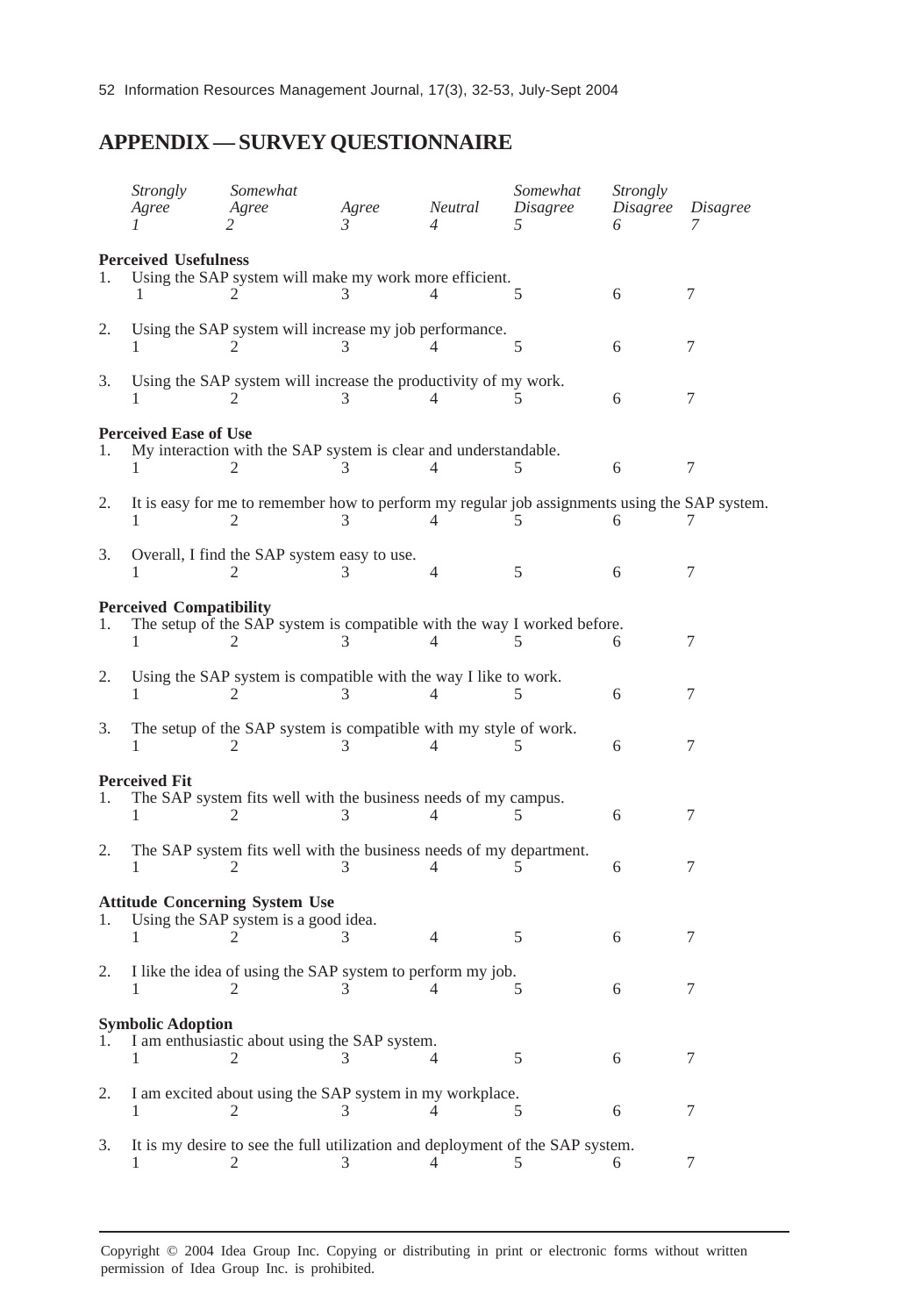# **APPENDIX — SURVEY QUESTIONNAIRE**

|    | <b>Strongly</b><br>Agree       | Somewhat<br>Agree                                                                             | Agree<br>$\mathcal{R}$ | Neutral     | Somewhat<br>Disagree<br>5 | Strongly<br>Disagree | Disagree |
|----|--------------------------------|-----------------------------------------------------------------------------------------------|------------------------|-------------|---------------------------|----------------------|----------|
|    | <b>Perceived Usefulness</b>    |                                                                                               |                        |             |                           |                      |          |
| 1. |                                | Using the SAP system will make my work more efficient.                                        |                        |             | 5                         | 6                    | 7        |
| 2. |                                | Using the SAP system will increase my job performance.                                        |                        |             | 5                         | 6                    | 7        |
| 3. |                                | Using the SAP system will increase the productivity of my work.                               |                        | $\varDelta$ |                           | 6                    | 7        |
|    | <b>Perceived Ease of Use</b>   |                                                                                               |                        |             |                           |                      |          |
| 1. |                                | My interaction with the SAP system is clear and understandable.                               |                        |             |                           | 6                    | 7        |
| 2. |                                | It is easy for me to remember how to perform my regular job assignments using the SAP system. |                        |             |                           |                      |          |
| 3. |                                | Overall, I find the SAP system easy to use.<br>$\mathbf{2}$                                   |                        | 4           | 5                         | 6                    | 7        |
|    | <b>Perceived Compatibility</b> |                                                                                               |                        |             |                           |                      |          |
| 1. |                                | The setup of the SAP system is compatible with the way I worked before.<br>2                  |                        |             | 5                         | 6                    | 7        |
| 2. |                                | Using the SAP system is compatible with the way I like to work.                               |                        |             |                           | 6                    | 7        |
| 3. | 1                              | The setup of the SAP system is compatible with my style of work.<br>2                         |                        |             | 5                         | 6                    | 7        |
|    | <b>Perceived Fit</b>           |                                                                                               |                        |             |                           |                      |          |
| l. | T                              | The SAP system fits well with the business needs of my campus.<br>2                           |                        | Δ           | 5                         | 6                    | 7        |
| 2. |                                | The SAP system fits well with the business needs of my department.<br>$\mathbf{2}$            |                        |             |                           | 6                    | 7        |
|    |                                | <b>Attitude Concerning System Use</b>                                                         |                        |             |                           |                      |          |
| 1. |                                | Using the SAP system is a good idea.                                                          |                        | 4           | 5                         | 6                    | 7        |
| 2. |                                | I like the idea of using the SAP system to perform my job.<br>2                               |                        | 4           | 5                         | 6                    | 7        |
|    | <b>Symbolic Adoption</b>       |                                                                                               |                        |             |                           |                      |          |
| 1. | 1                              | I am enthusiastic about using the SAP system.<br>2                                            |                        |             | 5                         | 6                    | 7        |
| 2. | 1                              | I am excited about using the SAP system in my workplace.<br>2                                 | 3                      |             | 5                         | 6                    | 7        |
| 3. |                                | It is my desire to see the full utilization and deployment of the SAP system.                 |                        |             |                           |                      |          |
|    |                                | 2                                                                                             | 3                      |             | 5                         | 6                    | 7        |